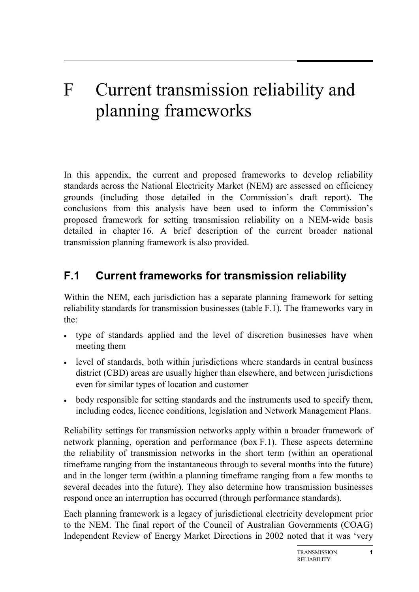# F Current transmission reliability and planning frameworks

In this appendix, the current and proposed frameworks to develop reliability standards across the National Electricity Market (NEM) are assessed on efficiency grounds (including those detailed in the Commission's draft report). The conclusions from this analysis have been used to inform the Commission's proposed framework for setting transmission reliability on a NEM-wide basis detailed in chapter 16. A brief description of the current broader national transmission planning framework is also provided.

# **F.1 Current frameworks for transmission reliability**

Within the NEM, each jurisdiction has a separate planning framework for setting reliability standards for transmission businesses (table F.1). The frameworks vary in the:

- type of standards applied and the level of discretion businesses have when meeting them
- level of standards, both within jurisdictions where standards in central business district (CBD) areas are usually higher than elsewhere, and between jurisdictions even for similar types of location and customer
- body responsible for setting standards and the instruments used to specify them, including codes, licence conditions, legislation and Network Management Plans.

Reliability settings for transmission networks apply within a broader framework of network planning, operation and performance (box F.1). These aspects determine the reliability of transmission networks in the short term (within an operational timeframe ranging from the instantaneous through to several months into the future) and in the longer term (within a planning timeframe ranging from a few months to several decades into the future). They also determine how transmission businesses respond once an interruption has occurred (through performance standards).

Each planning framework is a legacy of jurisdictional electricity development prior to the NEM. The final report of the Council of Australian Governments (COAG) Independent Review of Energy Market Directions in 2002 noted that it was 'very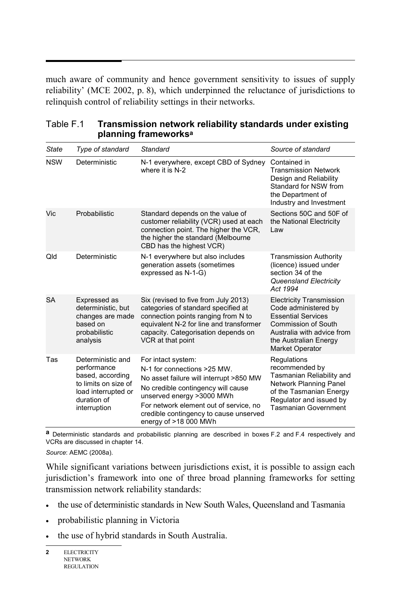much aware of community and hence government sensitivity to issues of supply reliability' (MCE 2002, p. 8), which underpinned the reluctance of jurisdictions to relinquish control of reliability settings in their networks.

| <b>State</b> | Type of standard                                                                                                                   | <b>Standard</b>                                                                                                                                                                                                                                                                | Source of standard                                                                                                                                                                                  |
|--------------|------------------------------------------------------------------------------------------------------------------------------------|--------------------------------------------------------------------------------------------------------------------------------------------------------------------------------------------------------------------------------------------------------------------------------|-----------------------------------------------------------------------------------------------------------------------------------------------------------------------------------------------------|
| <b>NSW</b>   | Deterministic                                                                                                                      | N-1 everywhere, except CBD of Sydney<br>where it is N-2                                                                                                                                                                                                                        | Contained in<br><b>Transmission Network</b><br>Design and Reliability<br>Standard for NSW from<br>the Department of<br>Industry and Investment                                                      |
| Vic          | Probabilistic                                                                                                                      | Standard depends on the value of<br>customer reliability (VCR) used at each<br>connection point. The higher the VCR,<br>the higher the standard (Melbourne<br>CBD has the highest VCR)                                                                                         | Sections 50C and 50F of<br>the National Electricity<br>Law                                                                                                                                          |
| Qld          | Deterministic                                                                                                                      | N-1 everywhere but also includes<br>generation assets (sometimes<br>expressed as N-1-G)                                                                                                                                                                                        | <b>Transmission Authority</b><br>(licence) issued under<br>section 34 of the<br><b>Queensland Electricity</b><br>Act 1994                                                                           |
| <b>SA</b>    | Expressed as<br>deterministic, but<br>changes are made<br>based on<br>probabilistic<br>analysis                                    | Six (revised to five from July 2013)<br>categories of standard specified at<br>connection points ranging from N to<br>equivalent N-2 for line and transformer<br>capacity. Categorisation depends on<br>VCR at that point                                                      | <b>Electricity Transmission</b><br>Code administered by<br><b>Essential Services</b><br><b>Commission of South</b><br>Australia with advice from<br>the Australian Energy<br><b>Market Operator</b> |
| Tas          | Deterministic and<br>performance<br>based, according<br>to limits on size of<br>load interrupted or<br>duration of<br>interruption | For intact system:<br>N-1 for connections >25 MW.<br>No asset failure will interrupt >850 MW<br>No credible contingency will cause<br>unserved energy >3000 MWh<br>For network element out of service, no<br>credible contingency to cause unserved<br>energy of $>18,000$ MWh | Regulations<br>recommended by<br>Tasmanian Reliability and<br>Network Planning Panel<br>of the Tasmanian Energy<br>Regulator and issued by<br><b>Tasmanian Government</b>                           |

| Table F.1 | Transmission network reliability standards under existing |
|-----------|-----------------------------------------------------------|
|           | planning frameworks <sup>a</sup>                          |

**a** Deterministic standards and probabilistic planning are described in boxes F.2 and F.4 respectively and VCRs are discussed in chapter 14.

*Source*: AEMC (2008a).

While significant variations between jurisdictions exist, it is possible to assign each jurisdiction's framework into one of three broad planning frameworks for setting transmission network reliability standards:

- the use of deterministic standards in New South Wales, Queensland and Tasmania
- probabilistic planning in Victoria
- the use of hybrid standards in South Australia.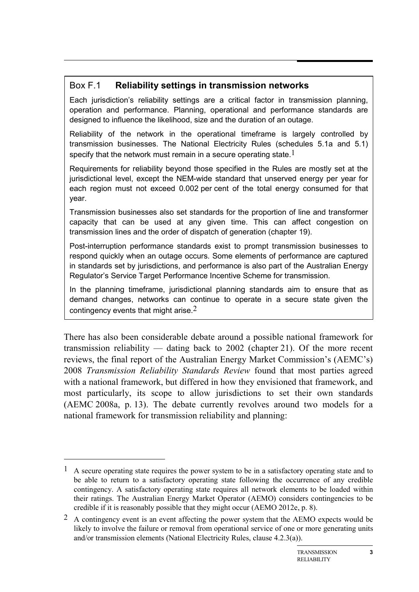# Box F.1 **Reliability settings in transmission networks**

Each jurisdiction's reliability settings are a critical factor in transmission planning, operation and performance. Planning, operational and performance standards are designed to influence the likelihood, size and the duration of an outage.

Reliability of the network in the operational timeframe is largely controlled by transmission businesses. The National Electricity Rules (schedules 5.1a and 5.1) specify that the network must remain in a secure operating state.<sup>1</sup>

Requirements for reliability beyond those specified in the Rules are mostly set at the jurisdictional level, except the NEM-wide standard that unserved energy per year for each region must not exceed 0.002 per cent of the total energy consumed for that year.

Transmission businesses also set standards for the proportion of line and transformer capacity that can be used at any given time. This can affect congestion on transmission lines and the order of dispatch of generation (chapter 19).

Post-interruption performance standards exist to prompt transmission businesses to respond quickly when an outage occurs. Some elements of performance are captured in standards set by jurisdictions, and performance is also part of the Australian Energy Regulator's Service Target Performance Incentive Scheme for transmission.

In the planning timeframe, jurisdictional planning standards aim to ensure that as demand changes, networks can continue to operate in a secure state given the contingency events that might arise. $2$ 

There has also been considerable debate around a possible national framework for transmission reliability — dating back to 2002 (chapter 21). Of the more recent reviews, the final report of the Australian Energy Market Commission's (AEMC's) 2008 *Transmission Reliability Standards Review* found that most parties agreed with a national framework, but differed in how they envisioned that framework, and most particularly, its scope to allow jurisdictions to set their own standards (AEMC 2008a, p. 13). The debate currently revolves around two models for a national framework for transmission reliability and planning:

-

 $1$  A secure operating state requires the power system to be in a satisfactory operating state and to be able to return to a satisfactory operating state following the occurrence of any credible contingency. A satisfactory operating state requires all network elements to be loaded within their ratings. The Australian Energy Market Operator (AEMO) considers contingencies to be credible if it is reasonably possible that they might occur (AEMO 2012e, p. 8).

<sup>2</sup> A contingency event is an event affecting the power system that the AEMO expects would be likely to involve the failure or removal from operational service of one or more generating units and/or transmission elements (National Electricity Rules, clause 4.2.3(a)).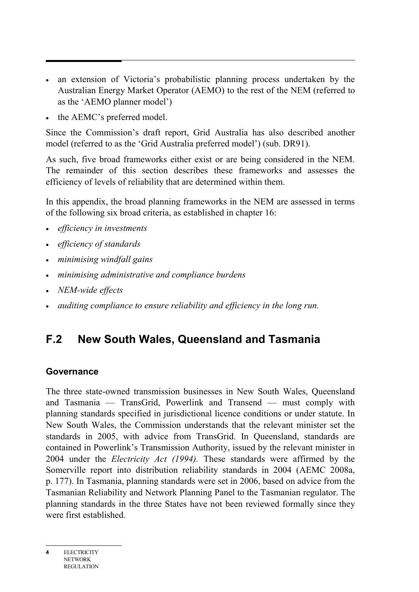- an extension of Victoria's probabilistic planning process undertaken by the Australian Energy Market Operator (AEMO) to the rest of the NEM (referred to as the 'AEMO planner model')
- the AEMC's preferred model.

Since the Commission's draft report, Grid Australia has also described another model (referred to as the 'Grid Australia preferred model') (sub. DR91).

As such, five broad frameworks either exist or are being considered in the NEM. The remainder of this section describes these frameworks and assesses the efficiency of levels of reliability that are determined within them.

In this appendix, the broad planning frameworks in the NEM are assessed in terms of the following six broad criteria, as established in chapter 16:

- *efficiency in investments*
- *efficiency of standards*
- *minimising windfall gains*
- *minimising administrative and compliance burdens*
- *NEM-wide effects*
- *auditing compliance to ensure reliability and efficiency in the long run.*

# **F.2 New South Wales, Queensland and Tasmania**

#### **Governance**

The three state-owned transmission businesses in New South Wales, Queensland and Tasmania — TransGrid, Powerlink and Transend — must comply with planning standards specified in jurisdictional licence conditions or under statute. In New South Wales, the Commission understands that the relevant minister set the standards in 2005, with advice from TransGrid. In Queensland, standards are contained in Powerlink's Transmission Authority, issued by the relevant minister in 2004 under the *Electricity Act (1994).* These standards were affirmed by the Somerville report into distribution reliability standards in 2004 (AEMC 2008a, p. 177). In Tasmania, planning standards were set in 2006, based on advice from the Tasmanian Reliability and Network Planning Panel to the Tasmanian regulator. The planning standards in the three States have not been reviewed formally since they were first established.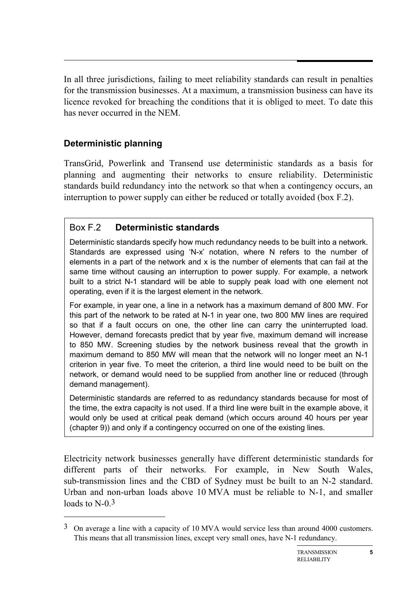In all three jurisdictions, failing to meet reliability standards can result in penalties for the transmission businesses. At a maximum, a transmission business can have its licence revoked for breaching the conditions that it is obliged to meet. To date this has never occurred in the NEM.

# **Deterministic planning**

-

TransGrid, Powerlink and Transend use deterministic standards as a basis for planning and augmenting their networks to ensure reliability. Deterministic standards build redundancy into the network so that when a contingency occurs, an interruption to power supply can either be reduced or totally avoided (box F.2).

# Box F.2 **Deterministic standards**

Deterministic standards specify how much redundancy needs to be built into a network. Standards are expressed using 'N-x' notation, where N refers to the number of elements in a part of the network and x is the number of elements that can fail at the same time without causing an interruption to power supply. For example, a network built to a strict N-1 standard will be able to supply peak load with one element not operating, even if it is the largest element in the network.

For example, in year one, a line in a network has a maximum demand of 800 MW. For this part of the network to be rated at N-1 in year one, two 800 MW lines are required so that if a fault occurs on one, the other line can carry the uninterrupted load. However, demand forecasts predict that by year five, maximum demand will increase to 850 MW. Screening studies by the network business reveal that the growth in maximum demand to 850 MW will mean that the network will no longer meet an N-1 criterion in year five. To meet the criterion, a third line would need to be built on the network, or demand would need to be supplied from another line or reduced (through demand management).

Deterministic standards are referred to as redundancy standards because for most of the time, the extra capacity is not used. If a third line were built in the example above, it would only be used at critical peak demand (which occurs around 40 hours per year (chapter 9)) and only if a contingency occurred on one of the existing lines.

Electricity network businesses generally have different deterministic standards for different parts of their networks. For example, in New South Wales, sub-transmission lines and the CBD of Sydney must be built to an N-2 standard. Urban and non-urban loads above 10 MVA must be reliable to N-1, and smaller loads to N-0.<sup>3</sup>

<sup>3</sup> On average a line with a capacity of 10 MVA would service less than around 4000 customers. This means that all transmission lines, except very small ones, have N-1 redundancy.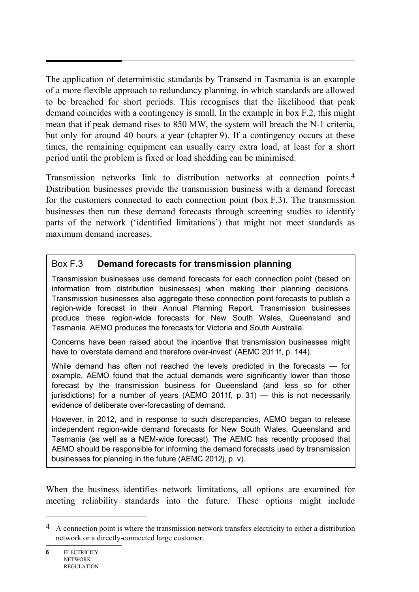The application of deterministic standards by Transend in Tasmania is an example of a more flexible approach to redundancy planning, in which standards are allowed to be breached for short periods. This recognises that the likelihood that peak demand coincides with a contingency is small. In the example in box F.2, this might mean that if peak demand rises to 850 MW, the system will breach the N-1 criteria, but only for around 40 hours a year (chapter 9). If a contingency occurs at these times, the remaining equipment can usually carry extra load, at least for a short period until the problem is fixed or load shedding can be minimised.

Transmission networks link to distribution networks at connection points.4 Distribution businesses provide the transmission business with a demand forecast for the customers connected to each connection point (box F.3). The transmission businesses then run these demand forecasts through screening studies to identify parts of the network ('identified limitations') that might not meet standards as maximum demand increases.

# Box F**.**3 **Demand forecasts for transmission planning**

Transmission businesses use demand forecasts for each connection point (based on information from distribution businesses) when making their planning decisions. Transmission businesses also aggregate these connection point forecasts to publish a region-wide forecast in their Annual Planning Report. Transmission businesses produce these region-wide forecasts for New South Wales, Queensland and Tasmania. AEMO produces the forecasts for Victoria and South Australia.

Concerns have been raised about the incentive that transmission businesses might have to 'overstate demand and therefore over-invest' (AEMC 2011f, p. 144).

While demand has often not reached the levels predicted in the forecasts — for example, AEMO found that the actual demands were significantly lower than those forecast by the transmission business for Queensland (and less so for other jurisdictions) for a number of years (AEMO 2011f, p. 31) — this is not necessarily evidence of deliberate over-forecasting of demand.

However, in 2012, and in response to such discrepancies, AEMO began to release independent region-wide demand forecasts for New South Wales, Queensland and Tasmania (as well as a NEM-wide forecast). The AEMC has recently proposed that AEMO should be responsible for informing the demand forecasts used by transmission businesses for planning in the future (AEMC 2012j, p. v).

When the business identifies network limitations, all options are examined for meeting reliability standards into the future. These options might include

 $\overline{a}$ 

<sup>4</sup> A connection point is where the transmission network transfers electricity to either a distribution network or a directly-connected large customer.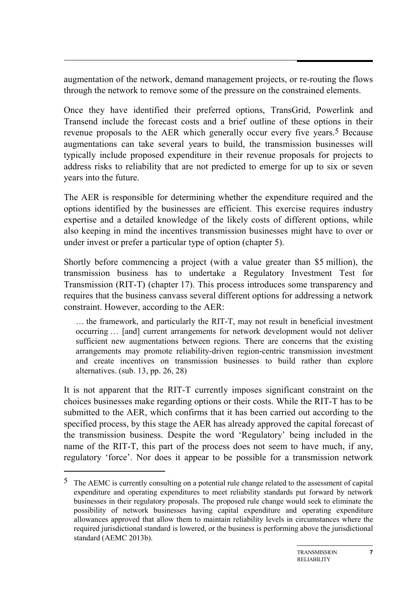augmentation of the network, demand management projects, or re-routing the flows through the network to remove some of the pressure on the constrained elements.

Once they have identified their preferred options, TransGrid, Powerlink and Transend include the forecast costs and a brief outline of these options in their revenue proposals to the AER which generally occur every five years.<sup>5</sup> Because augmentations can take several years to build, the transmission businesses will typically include proposed expenditure in their revenue proposals for projects to address risks to reliability that are not predicted to emerge for up to six or seven years into the future.

The AER is responsible for determining whether the expenditure required and the options identified by the businesses are efficient. This exercise requires industry expertise and a detailed knowledge of the likely costs of different options, while also keeping in mind the incentives transmission businesses might have to over or under invest or prefer a particular type of option (chapter 5).

Shortly before commencing a project (with a value greater than \$5 million), the transmission business has to undertake a Regulatory Investment Test for Transmission (RIT-T) (chapter 17). This process introduces some transparency and requires that the business canvass several different options for addressing a network constraint. However, according to the AER:

… the framework, and particularly the RIT-T, may not result in beneficial investment occurring … [and] current arrangements for network development would not deliver sufficient new augmentations between regions. There are concerns that the existing arrangements may promote reliability-driven region-centric transmission investment and create incentives on transmission businesses to build rather than explore alternatives. (sub. 13, pp. 26, 28)

It is not apparent that the RIT-T currently imposes significant constraint on the choices businesses make regarding options or their costs. While the RIT-T has to be submitted to the AER, which confirms that it has been carried out according to the specified process, by this stage the AER has already approved the capital forecast of the transmission business. Despite the word 'Regulatory' being included in the name of the RIT-T, this part of the process does not seem to have much, if any, regulatory 'force'. Nor does it appear to be possible for a transmission network

-

<sup>5</sup> The AEMC is currently consulting on a potential rule change related to the assessment of capital expenditure and operating expenditures to meet reliability standards put forward by network businesses in their regulatory proposals. The proposed rule change would seek to eliminate the possibility of network businesses having capital expenditure and operating expenditure allowances approved that allow them to maintain reliability levels in circumstances where the required jurisdictional standard is lowered, or the business is performing above the jurisdictional standard (AEMC 2013b).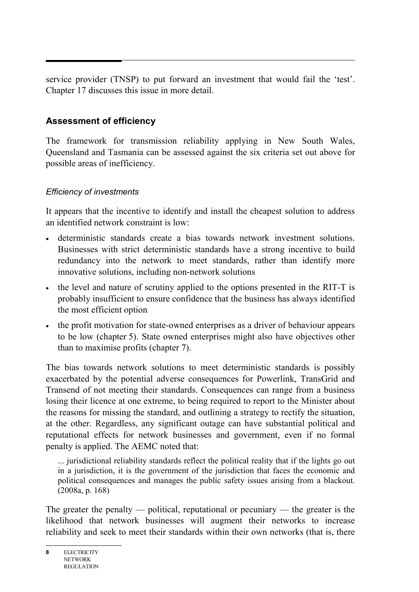service provider (TNSP) to put forward an investment that would fail the 'test'. Chapter 17 discusses this issue in more detail.

# **Assessment of efficiency**

The framework for transmission reliability applying in New South Wales, Queensland and Tasmania can be assessed against the six criteria set out above for possible areas of inefficiency.

# *Efficiency of investments*

It appears that the incentive to identify and install the cheapest solution to address an identified network constraint is low:

- deterministic standards create a bias towards network investment solutions. Businesses with strict deterministic standards have a strong incentive to build redundancy into the network to meet standards, rather than identify more innovative solutions, including non-network solutions
- the level and nature of scrutiny applied to the options presented in the RIT-T is probably insufficient to ensure confidence that the business has always identified the most efficient option
- the profit motivation for state-owned enterprises as a driver of behaviour appears to be low (chapter 5). State owned enterprises might also have objectives other than to maximise profits (chapter 7).

The bias towards network solutions to meet deterministic standards is possibly exacerbated by the potential adverse consequences for Powerlink, TransGrid and Transend of not meeting their standards. Consequences can range from a business losing their licence at one extreme, to being required to report to the Minister about the reasons for missing the standard, and outlining a strategy to rectify the situation, at the other. Regardless, any significant outage can have substantial political and reputational effects for network businesses and government, even if no formal penalty is applied. The AEMC noted that:

... jurisdictional reliability standards reflect the political reality that if the lights go out in a jurisdiction, it is the government of the jurisdiction that faces the economic and political consequences and manages the public safety issues arising from a blackout. (2008a, p. 168)

The greater the penalty — political, reputational or pecuniary — the greater is the likelihood that network businesses will augment their networks to increase reliability and seek to meet their standards within their own networks (that is, there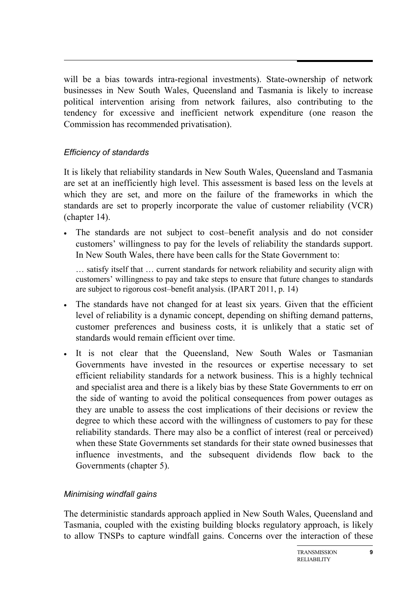will be a bias towards intra-regional investments). State-ownership of network businesses in New South Wales, Queensland and Tasmania is likely to increase political intervention arising from network failures, also contributing to the tendency for excessive and inefficient network expenditure (one reason the Commission has recommended privatisation).

#### *Efficiency of standards*

It is likely that reliability standards in New South Wales, Queensland and Tasmania are set at an inefficiently high level. This assessment is based less on the levels at which they are set, and more on the failure of the frameworks in which the standards are set to properly incorporate the value of customer reliability (VCR) (chapter 14).

• The standards are not subject to cost–benefit analysis and do not consider customers' willingness to pay for the levels of reliability the standards support. In New South Wales, there have been calls for the State Government to:

… satisfy itself that … current standards for network reliability and security align with customers' willingness to pay and take steps to ensure that future changes to standards are subject to rigorous cost–benefit analysis. (IPART 2011, p. 14)

- The standards have not changed for at least six years. Given that the efficient level of reliability is a dynamic concept, depending on shifting demand patterns, customer preferences and business costs, it is unlikely that a static set of standards would remain efficient over time.
- It is not clear that the Queensland, New South Wales or Tasmanian Governments have invested in the resources or expertise necessary to set efficient reliability standards for a network business. This is a highly technical and specialist area and there is a likely bias by these State Governments to err on the side of wanting to avoid the political consequences from power outages as they are unable to assess the cost implications of their decisions or review the degree to which these accord with the willingness of customers to pay for these reliability standards. There may also be a conflict of interest (real or perceived) when these State Governments set standards for their state owned businesses that influence investments, and the subsequent dividends flow back to the Governments (chapter 5).

#### *Minimising windfall gains*

The deterministic standards approach applied in New South Wales, Queensland and Tasmania, coupled with the existing building blocks regulatory approach, is likely to allow TNSPs to capture windfall gains. Concerns over the interaction of these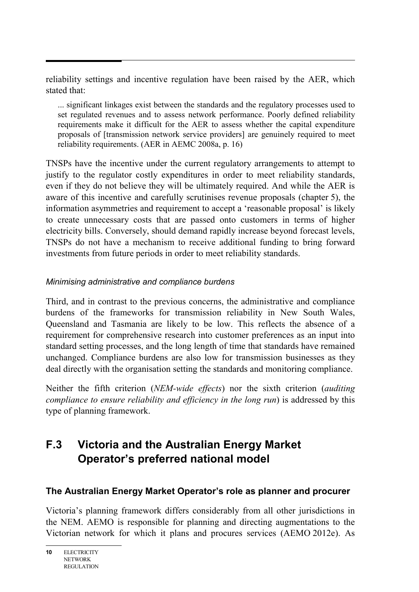reliability settings and incentive regulation have been raised by the AER, which stated that:

... significant linkages exist between the standards and the regulatory processes used to set regulated revenues and to assess network performance. Poorly defined reliability requirements make it difficult for the AER to assess whether the capital expenditure proposals of [transmission network service providers] are genuinely required to meet reliability requirements. (AER in AEMC 2008a, p. 16)

TNSPs have the incentive under the current regulatory arrangements to attempt to justify to the regulator costly expenditures in order to meet reliability standards, even if they do not believe they will be ultimately required. And while the AER is aware of this incentive and carefully scrutinises revenue proposals (chapter 5), the information asymmetries and requirement to accept a 'reasonable proposal' is likely to create unnecessary costs that are passed onto customers in terms of higher electricity bills. Conversely, should demand rapidly increase beyond forecast levels, TNSPs do not have a mechanism to receive additional funding to bring forward investments from future periods in order to meet reliability standards.

# *Minimising administrative and compliance burdens*

Third, and in contrast to the previous concerns, the administrative and compliance burdens of the frameworks for transmission reliability in New South Wales, Queensland and Tasmania are likely to be low. This reflects the absence of a requirement for comprehensive research into customer preferences as an input into standard setting processes, and the long length of time that standards have remained unchanged. Compliance burdens are also low for transmission businesses as they deal directly with the organisation setting the standards and monitoring compliance.

Neither the fifth criterion (*NEM-wide effects*) nor the sixth criterion (*auditing compliance to ensure reliability and efficiency in the long run*) is addressed by this type of planning framework.

# **F.3 Victoria and the Australian Energy Market Operator's preferred national model**

# **The Australian Energy Market Operator's role as planner and procurer**

Victoria's planning framework differs considerably from all other jurisdictions in the NEM. AEMO is responsible for planning and directing augmentations to the Victorian network for which it plans and procures services (AEMO 2012e). As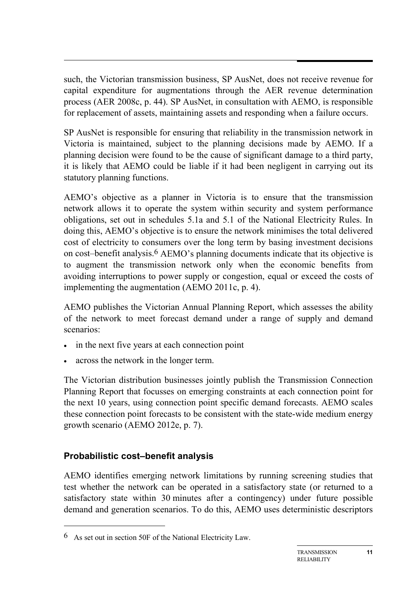such, the Victorian transmission business, SP AusNet, does not receive revenue for capital expenditure for augmentations through the AER revenue determination process (AER 2008c, p. 44). SP AusNet, in consultation with AEMO, is responsible for replacement of assets, maintaining assets and responding when a failure occurs.

SP AusNet is responsible for ensuring that reliability in the transmission network in Victoria is maintained, subject to the planning decisions made by AEMO. If a planning decision were found to be the cause of significant damage to a third party, it is likely that AEMO could be liable if it had been negligent in carrying out its statutory planning functions.

AEMO's objective as a planner in Victoria is to ensure that the transmission network allows it to operate the system within security and system performance obligations, set out in schedules 5.1a and 5.1 of the National Electricity Rules. In doing this, AEMO's objective is to ensure the network minimises the total delivered cost of electricity to consumers over the long term by basing investment decisions on cost–benefit analysis.6 AEMO's planning documents indicate that its objective is to augment the transmission network only when the economic benefits from avoiding interruptions to power supply or congestion, equal or exceed the costs of implementing the augmentation (AEMO 2011c, p. 4).

AEMO publishes the Victorian Annual Planning Report, which assesses the ability of the network to meet forecast demand under a range of supply and demand scenarios:

- in the next five years at each connection point
- across the network in the longer term.

The Victorian distribution businesses jointly publish the Transmission Connection Planning Report that focusses on emerging constraints at each connection point for the next 10 years, using connection point specific demand forecasts. AEMO scales these connection point forecasts to be consistent with the state-wide medium energy growth scenario (AEMO 2012e, p. 7).

# **Probabilistic cost–benefit analysis**

-

AEMO identifies emerging network limitations by running screening studies that test whether the network can be operated in a satisfactory state (or returned to a satisfactory state within 30 minutes after a contingency) under future possible demand and generation scenarios. To do this, AEMO uses deterministic descriptors

<sup>6</sup> As set out in section 50F of the National Electricity Law.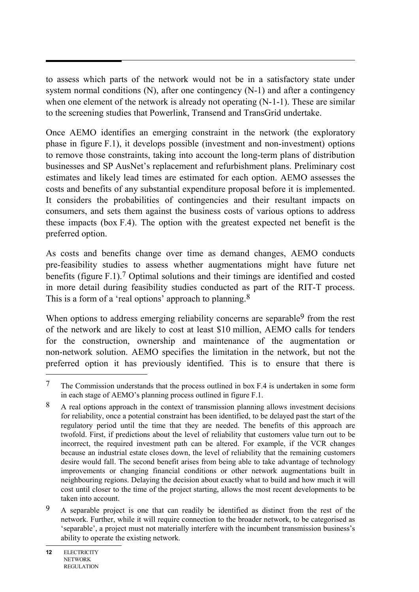to assess which parts of the network would not be in a satisfactory state under system normal conditions (N), after one contingency (N-1) and after a contingency when one element of the network is already not operating (N-1-1). These are similar to the screening studies that Powerlink, Transend and TransGrid undertake.

Once AEMO identifies an emerging constraint in the network (the exploratory phase in figure F.1), it develops possible (investment and non-investment) options to remove those constraints, taking into account the long-term plans of distribution businesses and SP AusNet's replacement and refurbishment plans. Preliminary cost estimates and likely lead times are estimated for each option. AEMO assesses the costs and benefits of any substantial expenditure proposal before it is implemented. It considers the probabilities of contingencies and their resultant impacts on consumers, and sets them against the business costs of various options to address these impacts (box F.4). The option with the greatest expected net benefit is the preferred option.

As costs and benefits change over time as demand changes, AEMO conducts pre-feasibility studies to assess whether augmentations might have future net benefits (figure F.1).7 Optimal solutions and their timings are identified and costed in more detail during feasibility studies conducted as part of the RIT-T process. This is a form of a 'real options' approach to planning.<sup>8</sup>

When options to address emerging reliability concerns are separable<sup>9</sup> from the rest of the network and are likely to cost at least \$10 million, AEMO calls for tenders for the construction, ownership and maintenance of the augmentation or non-network solution. AEMO specifies the limitation in the network, but not the preferred option it has previously identified. This is to ensure that there is

 $\overline{a}$ 

<sup>7</sup> The Commission understands that the process outlined in box F.4 is undertaken in some form in each stage of AEMO's planning process outlined in figure F.1.

<sup>8</sup> A real options approach in the context of transmission planning allows investment decisions for reliability, once a potential constraint has been identified, to be delayed past the start of the regulatory period until the time that they are needed. The benefits of this approach are twofold. First, if predictions about the level of reliability that customers value turn out to be incorrect, the required investment path can be altered. For example, if the VCR changes because an industrial estate closes down, the level of reliability that the remaining customers desire would fall. The second benefit arises from being able to take advantage of technology improvements or changing financial conditions or other network augmentations built in neighbouring regions. Delaying the decision about exactly what to build and how much it will cost until closer to the time of the project starting, allows the most recent developments to be taken into account.

<sup>9</sup> A separable project is one that can readily be identified as distinct from the rest of the network. Further, while it will require connection to the broader network, to be categorised as 'separable', a project must not materially interfere with the incumbent transmission business's ability to operate the existing network.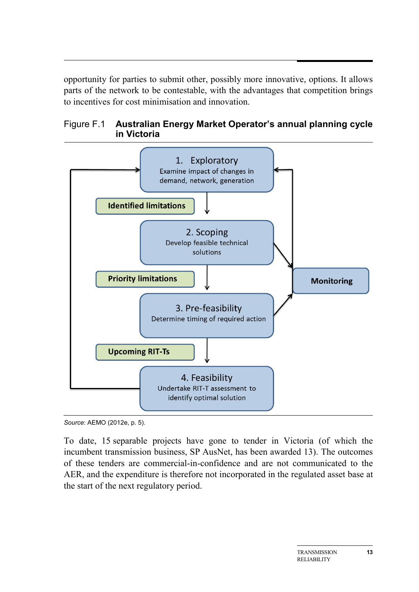opportunity for parties to submit other, possibly more innovative, options. It allows parts of the network to be contestable, with the advantages that competition brings to incentives for cost minimisation and innovation.





*Source*: AEMO (2012e, p. 5).

To date, 15 separable projects have gone to tender in Victoria (of which the incumbent transmission business, SP AusNet, has been awarded 13). The outcomes of these tenders are commercial-in-confidence and are not communicated to the AER, and the expenditure is therefore not incorporated in the regulated asset base at the start of the next regulatory period.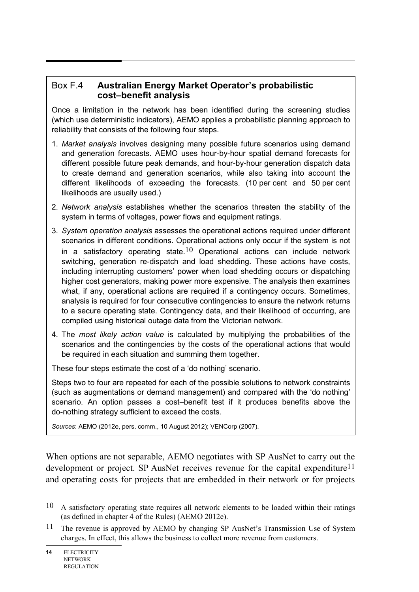#### Box F.4 **Australian Energy Market Operator's probabilistic cost–benefit analysis**

Once a limitation in the network has been identified during the screening studies (which use deterministic indicators), AEMO applies a probabilistic planning approach to reliability that consists of the following four steps.

- 1. *Market analysis* involves designing many possible future scenarios using demand and generation forecasts. AEMO uses hour-by-hour spatial demand forecasts for different possible future peak demands, and hour-by-hour generation dispatch data to create demand and generation scenarios, while also taking into account the different likelihoods of exceeding the forecasts. (10 per cent and 50 per cent likelihoods are usually used.)
- 2. *Network analysis* establishes whether the scenarios threaten the stability of the system in terms of voltages, power flows and equipment ratings.
- 3. *System operation analysis* assesses the operational actions required under different scenarios in different conditions. Operational actions only occur if the system is not in a satisfactory operating state.<sup>10</sup> Operational actions can include network switching, generation re-dispatch and load shedding. These actions have costs, including interrupting customers' power when load shedding occurs or dispatching higher cost generators, making power more expensive. The analysis then examines what, if any, operational actions are required if a contingency occurs. Sometimes, analysis is required for four consecutive contingencies to ensure the network returns to a secure operating state. Contingency data, and their likelihood of occurring, are compiled using historical outage data from the Victorian network.
- 4. The *most likely action value* is calculated by multiplying the probabilities of the scenarios and the contingencies by the costs of the operational actions that would be required in each situation and summing them together.

These four steps estimate the cost of a 'do nothing' scenario.

Steps two to four are repeated for each of the possible solutions to network constraints (such as augmentations or demand management) and compared with the 'do nothing' scenario. An option passes a cost–benefit test if it produces benefits above the do-nothing strategy sufficient to exceed the costs.

*Sources*: AEMO (2012e, pers. comm., 10 August 2012); VENCorp (2007).

When options are not separable, AEMO negotiates with SP AusNet to carry out the development or project. SP AusNet receives revenue for the capital expenditure<sup>11</sup> and operating costs for projects that are embedded in their network or for projects

 $\overline{a}$ 

<sup>10</sup> A satisfactory operating state requires all network elements to be loaded within their ratings (as defined in chapter 4 of the Rules) (AEMO 2012e).

<sup>11</sup> The revenue is approved by AEMO by changing SP AusNet's Transmission Use of System charges. In effect, this allows the business to collect more revenue from customers.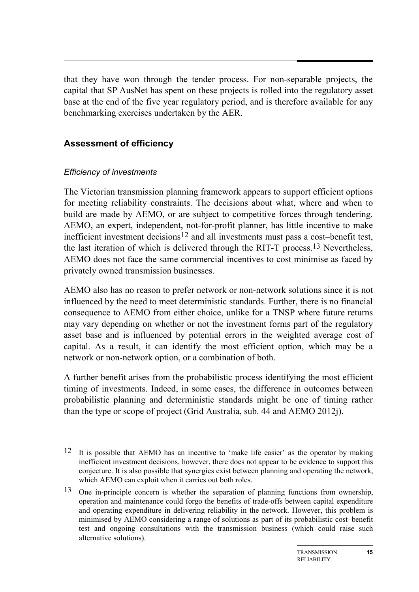that they have won through the tender process. For non-separable projects, the capital that SP AusNet has spent on these projects is rolled into the regulatory asset base at the end of the five year regulatory period, and is therefore available for any benchmarking exercises undertaken by the AER.

#### **Assessment of efficiency**

#### *Efficiency of investments*

-

The Victorian transmission planning framework appears to support efficient options for meeting reliability constraints. The decisions about what, where and when to build are made by AEMO, or are subject to competitive forces through tendering. AEMO, an expert, independent, not-for-profit planner, has little incentive to make inefficient investment decisions<sup>12</sup> and all investments must pass a cost–benefit test, the last iteration of which is delivered through the RIT-T process.13 Nevertheless, AEMO does not face the same commercial incentives to cost minimise as faced by privately owned transmission businesses.

AEMO also has no reason to prefer network or non-network solutions since it is not influenced by the need to meet deterministic standards. Further, there is no financial consequence to AEMO from either choice, unlike for a TNSP where future returns may vary depending on whether or not the investment forms part of the regulatory asset base and is influenced by potential errors in the weighted average cost of capital. As a result, it can identify the most efficient option, which may be a network or non-network option, or a combination of both.

A further benefit arises from the probabilistic process identifying the most efficient timing of investments. Indeed, in some cases, the difference in outcomes between probabilistic planning and deterministic standards might be one of timing rather than the type or scope of project (Grid Australia, sub. 44 and AEMO 2012j).

<sup>12</sup> It is possible that AEMO has an incentive to 'make life easier' as the operator by making inefficient investment decisions, however, there does not appear to be evidence to support this conjecture. It is also possible that synergies exist between planning and operating the network, which AEMO can exploit when it carries out both roles.

<sup>13</sup> One in-principle concern is whether the separation of planning functions from ownership, operation and maintenance could forgo the benefits of trade-offs between capital expenditure and operating expenditure in delivering reliability in the network. However, this problem is minimised by AEMO considering a range of solutions as part of its probabilistic cost–benefit test and ongoing consultations with the transmission business (which could raise such alternative solutions).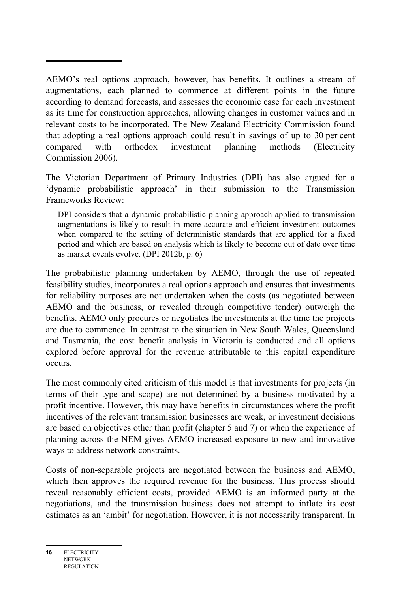AEMO's real options approach, however, has benefits. It outlines a stream of augmentations, each planned to commence at different points in the future according to demand forecasts, and assesses the economic case for each investment as its time for construction approaches, allowing changes in customer values and in relevant costs to be incorporated. The New Zealand Electricity Commission found that adopting a real options approach could result in savings of up to 30 per cent compared with orthodox investment planning methods (Electricity Commission 2006).

The Victorian Department of Primary Industries (DPI) has also argued for a 'dynamic probabilistic approach' in their submission to the Transmission Frameworks Review:

DPI considers that a dynamic probabilistic planning approach applied to transmission augmentations is likely to result in more accurate and efficient investment outcomes when compared to the setting of deterministic standards that are applied for a fixed period and which are based on analysis which is likely to become out of date over time as market events evolve. (DPI 2012b, p. 6)

The probabilistic planning undertaken by AEMO, through the use of repeated feasibility studies, incorporates a real options approach and ensures that investments for reliability purposes are not undertaken when the costs (as negotiated between AEMO and the business, or revealed through competitive tender) outweigh the benefits. AEMO only procures or negotiates the investments at the time the projects are due to commence. In contrast to the situation in New South Wales, Queensland and Tasmania, the cost–benefit analysis in Victoria is conducted and all options explored before approval for the revenue attributable to this capital expenditure occurs.

The most commonly cited criticism of this model is that investments for projects (in terms of their type and scope) are not determined by a business motivated by a profit incentive. However, this may have benefits in circumstances where the profit incentives of the relevant transmission businesses are weak, or investment decisions are based on objectives other than profit (chapter 5 and 7) or when the experience of planning across the NEM gives AEMO increased exposure to new and innovative ways to address network constraints.

Costs of non-separable projects are negotiated between the business and AEMO, which then approves the required revenue for the business. This process should reveal reasonably efficient costs, provided AEMO is an informed party at the negotiations, and the transmission business does not attempt to inflate its cost estimates as an 'ambit' for negotiation. However, it is not necessarily transparent. In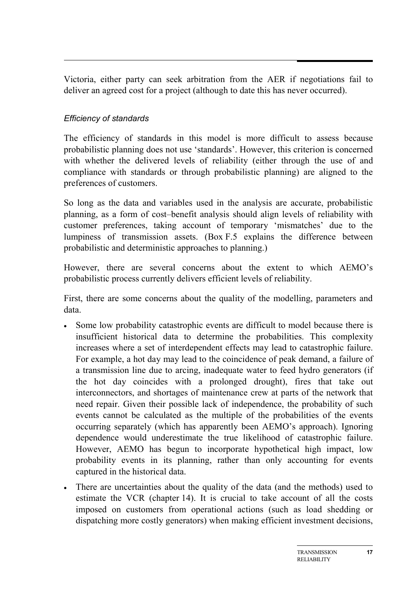Victoria, either party can seek arbitration from the AER if negotiations fail to deliver an agreed cost for a project (although to date this has never occurred).

#### *Efficiency of standards*

The efficiency of standards in this model is more difficult to assess because probabilistic planning does not use 'standards'. However, this criterion is concerned with whether the delivered levels of reliability (either through the use of and compliance with standards or through probabilistic planning) are aligned to the preferences of customers.

So long as the data and variables used in the analysis are accurate, probabilistic planning, as a form of cost–benefit analysis should align levels of reliability with customer preferences, taking account of temporary 'mismatches' due to the lumpiness of transmission assets. (Box F.5 explains the difference between probabilistic and deterministic approaches to planning.)

However, there are several concerns about the extent to which AEMO's probabilistic process currently delivers efficient levels of reliability.

First, there are some concerns about the quality of the modelling, parameters and data.

- Some low probability catastrophic events are difficult to model because there is insufficient historical data to determine the probabilities. This complexity increases where a set of interdependent effects may lead to catastrophic failure. For example, a hot day may lead to the coincidence of peak demand, a failure of a transmission line due to arcing, inadequate water to feed hydro generators (if the hot day coincides with a prolonged drought), fires that take out interconnectors, and shortages of maintenance crew at parts of the network that need repair. Given their possible lack of independence, the probability of such events cannot be calculated as the multiple of the probabilities of the events occurring separately (which has apparently been AEMO's approach). Ignoring dependence would underestimate the true likelihood of catastrophic failure. However, AEMO has begun to incorporate hypothetical high impact, low probability events in its planning, rather than only accounting for events captured in the historical data.
- There are uncertainties about the quality of the data (and the methods) used to estimate the VCR (chapter 14). It is crucial to take account of all the costs imposed on customers from operational actions (such as load shedding or dispatching more costly generators) when making efficient investment decisions,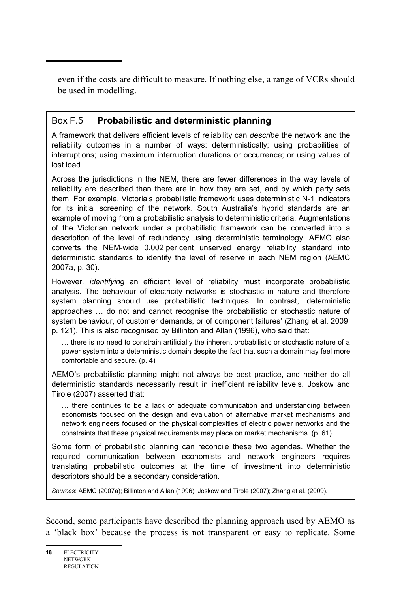even if the costs are difficult to measure. If nothing else, a range of VCRs should be used in modelling.

## Box F.5 **Probabilistic and deterministic planning**

A framework that delivers efficient levels of reliability can *describe* the network and the reliability outcomes in a number of ways: deterministically; using probabilities of interruptions; using maximum interruption durations or occurrence; or using values of lost load.

Across the jurisdictions in the NEM, there are fewer differences in the way levels of reliability are described than there are in how they are set, and by which party sets them. For example, Victoria's probabilistic framework uses deterministic N-1 indicators for its initial screening of the network. South Australia's hybrid standards are an example of moving from a probabilistic analysis to deterministic criteria. Augmentations of the Victorian network under a probabilistic framework can be converted into a description of the level of redundancy using deterministic terminology. AEMO also converts the NEM-wide 0.002 per cent unserved energy reliability standard into deterministic standards to identify the level of reserve in each NEM region (AEMC 2007a, p. 30).

However*, identifying* an efficient level of reliability must incorporate probabilistic analysis. The behaviour of electricity networks is stochastic in nature and therefore system planning should use probabilistic techniques. In contrast, 'deterministic approaches … do not and cannot recognise the probabilistic or stochastic nature of system behaviour, of customer demands, or of component failures' (Zhang et al. 2009, p. 121). This is also recognised by Billinton and Allan (1996), who said that:

… there is no need to constrain artificially the inherent probabilistic or stochastic nature of a power system into a deterministic domain despite the fact that such a domain may feel more comfortable and secure. (p. 4)

AEMO's probabilistic planning might not always be best practice, and neither do all deterministic standards necessarily result in inefficient reliability levels. Joskow and Tirole (2007) asserted that:

… there continues to be a lack of adequate communication and understanding between economists focused on the design and evaluation of alternative market mechanisms and network engineers focused on the physical complexities of electric power networks and the constraints that these physical requirements may place on market mechanisms. (p. 61)

Some form of probabilistic planning can reconcile these two agendas. Whether the required communication between economists and network engineers requires translating probabilistic outcomes at the time of investment into deterministic descriptors should be a secondary consideration.

*Sources*: AEMC (2007a); Billinton and Allan (1996); Joskow and Tirole (2007); Zhang et al. (2009).

Second, some participants have described the planning approach used by AEMO as a 'black box' because the process is not transparent or easy to replicate. Some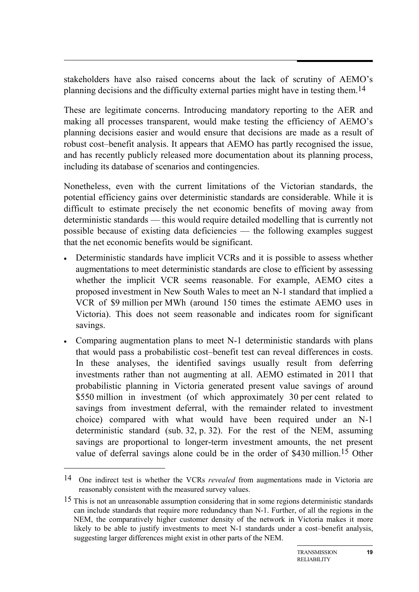stakeholders have also raised concerns about the lack of scrutiny of AEMO's planning decisions and the difficulty external parties might have in testing them.14

These are legitimate concerns. Introducing mandatory reporting to the AER and making all processes transparent, would make testing the efficiency of AEMO's planning decisions easier and would ensure that decisions are made as a result of robust cost–benefit analysis. It appears that AEMO has partly recognised the issue, and has recently publicly released more documentation about its planning process, including its database of scenarios and contingencies.

Nonetheless, even with the current limitations of the Victorian standards, the potential efficiency gains over deterministic standards are considerable. While it is difficult to estimate precisely the net economic benefits of moving away from deterministic standards — this would require detailed modelling that is currently not possible because of existing data deficiencies — the following examples suggest that the net economic benefits would be significant.

- Deterministic standards have implicit VCRs and it is possible to assess whether augmentations to meet deterministic standards are close to efficient by assessing whether the implicit VCR seems reasonable. For example, AEMO cites a proposed investment in New South Wales to meet an N-1 standard that implied a VCR of \$9 million per MWh (around 150 times the estimate AEMO uses in Victoria). This does not seem reasonable and indicates room for significant savings.
- Comparing augmentation plans to meet N-1 deterministic standards with plans that would pass a probabilistic cost–benefit test can reveal differences in costs. In these analyses, the identified savings usually result from deferring investments rather than not augmenting at all. AEMO estimated in 2011 that probabilistic planning in Victoria generated present value savings of around \$550 million in investment (of which approximately 30 per cent related to savings from investment deferral, with the remainder related to investment choice) compared with what would have been required under an N-1 deterministic standard (sub. 32, p. 32). For the rest of the NEM, assuming savings are proportional to longer-term investment amounts, the net present value of deferral savings alone could be in the order of \$430 million.15 Other

-

<sup>14</sup> One indirect test is whether the VCRs *revealed* from augmentations made in Victoria are reasonably consistent with the measured survey values.

<sup>&</sup>lt;sup>15</sup> This is not an unreasonable assumption considering that in some regions deterministic standards can include standards that require more redundancy than N-1. Further, of all the regions in the NEM, the comparatively higher customer density of the network in Victoria makes it more likely to be able to justify investments to meet N-1 standards under a cost–benefit analysis, suggesting larger differences might exist in other parts of the NEM.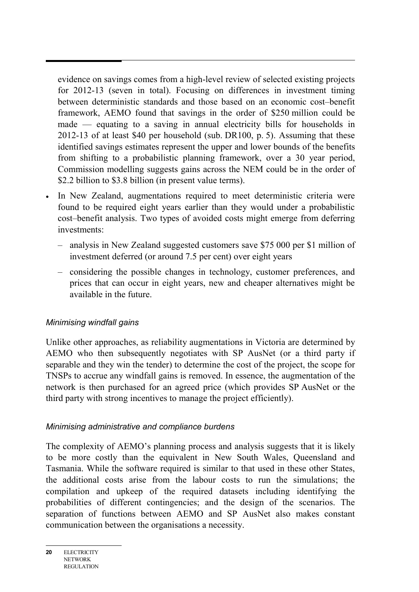evidence on savings comes from a high-level review of selected existing projects for 2012-13 (seven in total). Focusing on differences in investment timing between deterministic standards and those based on an economic cost–benefit framework, AEMO found that savings in the order of \$250 million could be made — equating to a saving in annual electricity bills for households in 2012-13 of at least \$40 per household (sub. DR100, p. 5). Assuming that these identified savings estimates represent the upper and lower bounds of the benefits from shifting to a probabilistic planning framework, over a 30 year period, Commission modelling suggests gains across the NEM could be in the order of \$2.2 billion to \$3.8 billion (in present value terms).

- In New Zealand, augmentations required to meet deterministic criteria were found to be required eight years earlier than they would under a probabilistic cost–benefit analysis. Two types of avoided costs might emerge from deferring investments:
	- analysis in New Zealand suggested customers save \$75 000 per \$1 million of investment deferred (or around 7.5 per cent) over eight years
	- considering the possible changes in technology, customer preferences, and prices that can occur in eight years, new and cheaper alternatives might be available in the future.

#### *Minimising windfall gains*

Unlike other approaches, as reliability augmentations in Victoria are determined by AEMO who then subsequently negotiates with SP AusNet (or a third party if separable and they win the tender) to determine the cost of the project, the scope for TNSPs to accrue any windfall gains is removed. In essence, the augmentation of the network is then purchased for an agreed price (which provides SP AusNet or the third party with strong incentives to manage the project efficiently).

#### *Minimising administrative and compliance burdens*

The complexity of AEMO's planning process and analysis suggests that it is likely to be more costly than the equivalent in New South Wales, Queensland and Tasmania. While the software required is similar to that used in these other States, the additional costs arise from the labour costs to run the simulations; the compilation and upkeep of the required datasets including identifying the probabilities of different contingencies; and the design of the scenarios. The separation of functions between AEMO and SP AusNet also makes constant communication between the organisations a necessity.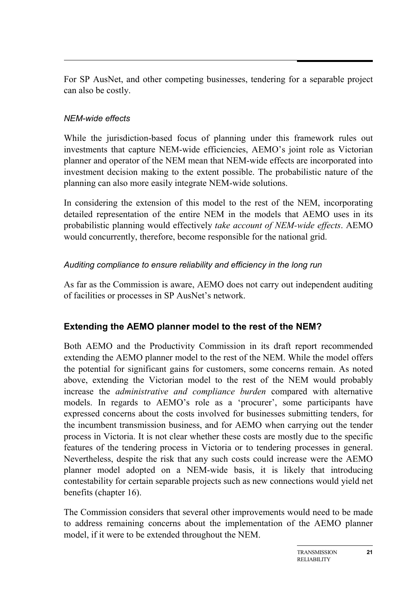For SP AusNet, and other competing businesses, tendering for a separable project can also be costly.

## *NEM-wide effects*

While the jurisdiction-based focus of planning under this framework rules out investments that capture NEM-wide efficiencies, AEMO's joint role as Victorian planner and operator of the NEM mean that NEM-wide effects are incorporated into investment decision making to the extent possible. The probabilistic nature of the planning can also more easily integrate NEM-wide solutions.

In considering the extension of this model to the rest of the NEM, incorporating detailed representation of the entire NEM in the models that AEMO uses in its probabilistic planning would effectively *take account of NEM-wide effects*. AEMO would concurrently, therefore, become responsible for the national grid.

#### *Auditing compliance to ensure reliability and efficiency in the long run*

As far as the Commission is aware, AEMO does not carry out independent auditing of facilities or processes in SP AusNet's network.

# **Extending the AEMO planner model to the rest of the NEM?**

Both AEMO and the Productivity Commission in its draft report recommended extending the AEMO planner model to the rest of the NEM. While the model offers the potential for significant gains for customers, some concerns remain. As noted above, extending the Victorian model to the rest of the NEM would probably increase the *administrative and compliance burden* compared with alternative models. In regards to AEMO's role as a 'procurer', some participants have expressed concerns about the costs involved for businesses submitting tenders, for the incumbent transmission business, and for AEMO when carrying out the tender process in Victoria. It is not clear whether these costs are mostly due to the specific features of the tendering process in Victoria or to tendering processes in general. Nevertheless, despite the risk that any such costs could increase were the AEMO planner model adopted on a NEM-wide basis, it is likely that introducing contestability for certain separable projects such as new connections would yield net benefits (chapter 16).

The Commission considers that several other improvements would need to be made to address remaining concerns about the implementation of the AEMO planner model, if it were to be extended throughout the NEM.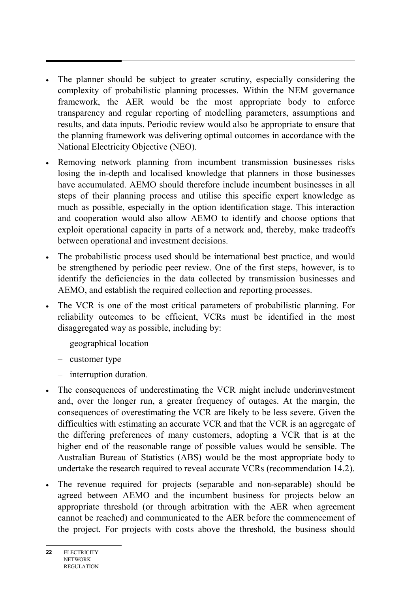- The planner should be subject to greater scrutiny, especially considering the complexity of probabilistic planning processes. Within the NEM governance framework, the AER would be the most appropriate body to enforce transparency and regular reporting of modelling parameters, assumptions and results, and data inputs. Periodic review would also be appropriate to ensure that the planning framework was delivering optimal outcomes in accordance with the National Electricity Objective (NEO).
- Removing network planning from incumbent transmission businesses risks losing the in-depth and localised knowledge that planners in those businesses have accumulated. AEMO should therefore include incumbent businesses in all steps of their planning process and utilise this specific expert knowledge as much as possible, especially in the option identification stage. This interaction and cooperation would also allow AEMO to identify and choose options that exploit operational capacity in parts of a network and, thereby, make tradeoffs between operational and investment decisions.
- The probabilistic process used should be international best practice, and would be strengthened by periodic peer review. One of the first steps, however, is to identify the deficiencies in the data collected by transmission businesses and AEMO, and establish the required collection and reporting processes.
- The VCR is one of the most critical parameters of probabilistic planning. For reliability outcomes to be efficient, VCRs must be identified in the most disaggregated way as possible, including by:
	- geographical location
	- customer type
	- interruption duration.
- The consequences of underestimating the VCR might include underinvestment and, over the longer run, a greater frequency of outages. At the margin, the consequences of overestimating the VCR are likely to be less severe. Given the difficulties with estimating an accurate VCR and that the VCR is an aggregate of the differing preferences of many customers, adopting a VCR that is at the higher end of the reasonable range of possible values would be sensible. The Australian Bureau of Statistics (ABS) would be the most appropriate body to undertake the research required to reveal accurate VCRs (recommendation 14.2).
- The revenue required for projects (separable and non-separable) should be agreed between AEMO and the incumbent business for projects below an appropriate threshold (or through arbitration with the AER when agreement cannot be reached) and communicated to the AER before the commencement of the project. For projects with costs above the threshold, the business should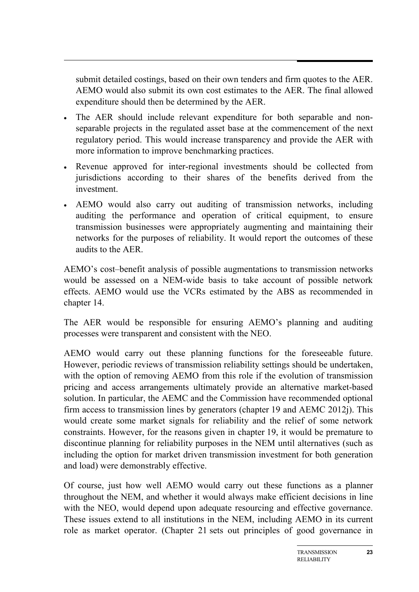submit detailed costings, based on their own tenders and firm quotes to the AER. AEMO would also submit its own cost estimates to the AER. The final allowed expenditure should then be determined by the AER.

- The AER should include relevant expenditure for both separable and nonseparable projects in the regulated asset base at the commencement of the next regulatory period. This would increase transparency and provide the AER with more information to improve benchmarking practices.
- Revenue approved for inter-regional investments should be collected from jurisdictions according to their shares of the benefits derived from the investment.
- AEMO would also carry out auditing of transmission networks, including auditing the performance and operation of critical equipment, to ensure transmission businesses were appropriately augmenting and maintaining their networks for the purposes of reliability. It would report the outcomes of these audits to the AER.

AEMO's cost–benefit analysis of possible augmentations to transmission networks would be assessed on a NEM-wide basis to take account of possible network effects. AEMO would use the VCRs estimated by the ABS as recommended in chapter 14.

The AER would be responsible for ensuring AEMO's planning and auditing processes were transparent and consistent with the NEO.

AEMO would carry out these planning functions for the foreseeable future. However, periodic reviews of transmission reliability settings should be undertaken, with the option of removing AEMO from this role if the evolution of transmission pricing and access arrangements ultimately provide an alternative market-based solution. In particular, the AEMC and the Commission have recommended optional firm access to transmission lines by generators (chapter 19 and AEMC 2012j). This would create some market signals for reliability and the relief of some network constraints. However, for the reasons given in chapter 19, it would be premature to discontinue planning for reliability purposes in the NEM until alternatives (such as including the option for market driven transmission investment for both generation and load) were demonstrably effective.

Of course, just how well AEMO would carry out these functions as a planner throughout the NEM, and whether it would always make efficient decisions in line with the NEO, would depend upon adequate resourcing and effective governance. These issues extend to all institutions in the NEM, including AEMO in its current role as market operator. (Chapter 21 sets out principles of good governance in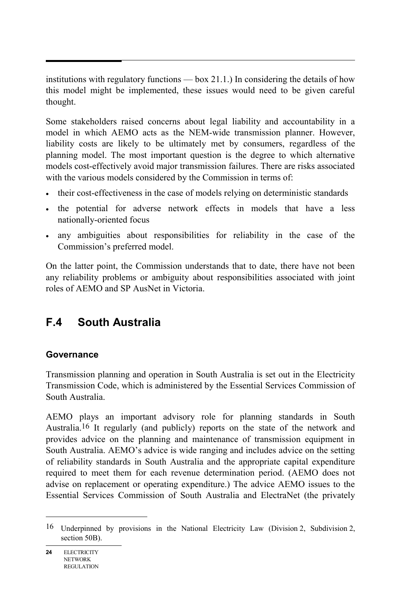institutions with regulatory functions — box 21.1.) In considering the details of how this model might be implemented, these issues would need to be given careful thought.

Some stakeholders raised concerns about legal liability and accountability in a model in which AEMO acts as the NEM-wide transmission planner. However, liability costs are likely to be ultimately met by consumers, regardless of the planning model. The most important question is the degree to which alternative models cost-effectively avoid major transmission failures. There are risks associated with the various models considered by the Commission in terms of:

- their cost-effectiveness in the case of models relying on deterministic standards
- the potential for adverse network effects in models that have a less nationally-oriented focus
- any ambiguities about responsibilities for reliability in the case of the Commission's preferred model.

On the latter point, the Commission understands that to date, there have not been any reliability problems or ambiguity about responsibilities associated with joint roles of AEMO and SP AusNet in Victoria.

# **F.4 South Australia**

# **Governance**

Transmission planning and operation in South Australia is set out in the Electricity Transmission Code, which is administered by the Essential Services Commission of South Australia.

AEMO plays an important advisory role for planning standards in South Australia.16 It regularly (and publicly) reports on the state of the network and provides advice on the planning and maintenance of transmission equipment in South Australia. AEMO's advice is wide ranging and includes advice on the setting of reliability standards in South Australia and the appropriate capital expenditure required to meet them for each revenue determination period. (AEMO does not advise on replacement or operating expenditure.) The advice AEMO issues to the Essential Services Commission of South Australia and ElectraNet (the privately

 $\overline{a}$ 

<sup>16</sup> Underpinned by provisions in the National Electricity Law (Division 2, Subdivision 2, section 50B).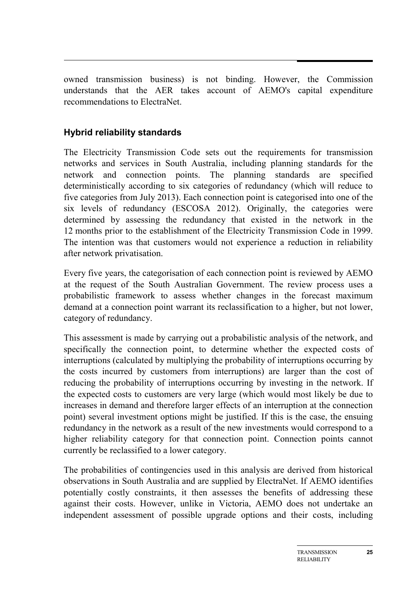owned transmission business) is not binding. However, the Commission understands that the AER takes account of AEMO's capital expenditure recommendations to ElectraNet.

## **Hybrid reliability standards**

The Electricity Transmission Code sets out the requirements for transmission networks and services in South Australia, including planning standards for the network and connection points. The planning standards are specified deterministically according to six categories of redundancy (which will reduce to five categories from July 2013). Each connection point is categorised into one of the six levels of redundancy (ESCOSA 2012). Originally, the categories were determined by assessing the redundancy that existed in the network in the 12 months prior to the establishment of the Electricity Transmission Code in 1999. The intention was that customers would not experience a reduction in reliability after network privatisation.

Every five years, the categorisation of each connection point is reviewed by AEMO at the request of the South Australian Government. The review process uses a probabilistic framework to assess whether changes in the forecast maximum demand at a connection point warrant its reclassification to a higher, but not lower, category of redundancy.

This assessment is made by carrying out a probabilistic analysis of the network, and specifically the connection point, to determine whether the expected costs of interruptions (calculated by multiplying the probability of interruptions occurring by the costs incurred by customers from interruptions) are larger than the cost of reducing the probability of interruptions occurring by investing in the network. If the expected costs to customers are very large (which would most likely be due to increases in demand and therefore larger effects of an interruption at the connection point) several investment options might be justified. If this is the case, the ensuing redundancy in the network as a result of the new investments would correspond to a higher reliability category for that connection point. Connection points cannot currently be reclassified to a lower category.

The probabilities of contingencies used in this analysis are derived from historical observations in South Australia and are supplied by ElectraNet. If AEMO identifies potentially costly constraints, it then assesses the benefits of addressing these against their costs. However, unlike in Victoria, AEMO does not undertake an independent assessment of possible upgrade options and their costs, including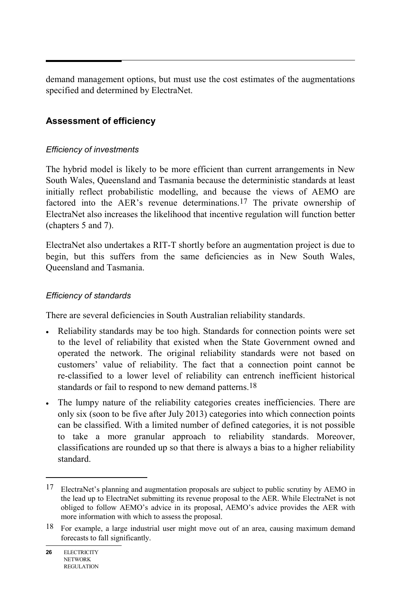demand management options, but must use the cost estimates of the augmentations specified and determined by ElectraNet.

# **Assessment of efficiency**

#### *Efficiency of investments*

The hybrid model is likely to be more efficient than current arrangements in New South Wales, Queensland and Tasmania because the deterministic standards at least initially reflect probabilistic modelling, and because the views of AEMO are factored into the AER's revenue determinations.17 The private ownership of ElectraNet also increases the likelihood that incentive regulation will function better (chapters 5 and 7).

ElectraNet also undertakes a RIT-T shortly before an augmentation project is due to begin, but this suffers from the same deficiencies as in New South Wales, Queensland and Tasmania.

#### *Efficiency of standards*

There are several deficiencies in South Australian reliability standards.

- Reliability standards may be too high. Standards for connection points were set to the level of reliability that existed when the State Government owned and operated the network. The original reliability standards were not based on customers' value of reliability. The fact that a connection point cannot be re-classified to a lower level of reliability can entrench inefficient historical standards or fail to respond to new demand patterns.<sup>18</sup>
- The lumpy nature of the reliability categories creates inefficiencies. There are only six (soon to be five after July 2013) categories into which connection points can be classified. With a limited number of defined categories, it is not possible to take a more granular approach to reliability standards. Moreover, classifications are rounded up so that there is always a bias to a higher reliability standard.

 $\overline{a}$ 

<sup>17</sup> ElectraNet's planning and augmentation proposals are subject to public scrutiny by AEMO in the lead up to ElectraNet submitting its revenue proposal to the AER. While ElectraNet is not obliged to follow AEMO's advice in its proposal, AEMO's advice provides the AER with more information with which to assess the proposal.

<sup>18</sup> For example, a large industrial user might move out of an area, causing maximum demand forecasts to fall significantly.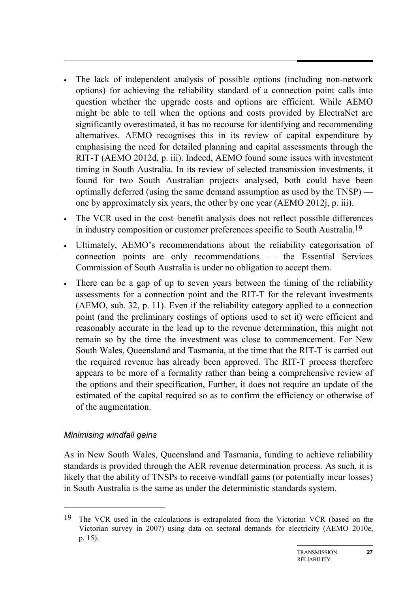- The lack of independent analysis of possible options (including non-network options) for achieving the reliability standard of a connection point calls into question whether the upgrade costs and options are efficient. While AEMO might be able to tell when the options and costs provided by ElectraNet are significantly overestimated, it has no recourse for identifying and recommending alternatives. AEMO recognises this in its review of capital expenditure by emphasising the need for detailed planning and capital assessments through the RIT-T (AEMO 2012d, p. iii). Indeed, AEMO found some issues with investment timing in South Australia. In its review of selected transmission investments, it found for two South Australian projects analysed, both could have been optimally deferred (using the same demand assumption as used by the TNSP) one by approximately six years, the other by one year (AEMO 2012j, p. iii).
- The VCR used in the cost–benefit analysis does not reflect possible differences in industry composition or customer preferences specific to South Australia.19
- Ultimately, AEMO's recommendations about the reliability categorisation of connection points are only recommendations — the Essential Services Commission of South Australia is under no obligation to accept them.
- There can be a gap of up to seven years between the timing of the reliability assessments for a connection point and the RIT-T for the relevant investments (AEMO, sub. 32, p. 11). Even if the reliability category applied to a connection point (and the preliminary costings of options used to set it) were efficient and reasonably accurate in the lead up to the revenue determination, this might not remain so by the time the investment was close to commencement. For New South Wales, Queensland and Tasmania, at the time that the RIT-T is carried out the required revenue has already been approved. The RIT-T process therefore appears to be more of a formality rather than being a comprehensive review of the options and their specification, Further, it does not require an update of the estimated of the capital required so as to confirm the efficiency or otherwise of of the augmentation.

#### *Minimising windfall gains*

-

As in New South Wales, Queensland and Tasmania, funding to achieve reliability standards is provided through the AER revenue determination process. As such, it is likely that the ability of TNSPs to receive windfall gains (or potentially incur losses) in South Australia is the same as under the deterministic standards system.

<sup>19</sup> The VCR used in the calculations is extrapolated from the Victorian VCR (based on the Victorian survey in 2007) using data on sectoral demands for electricity (AEMO 2010e, p. 15).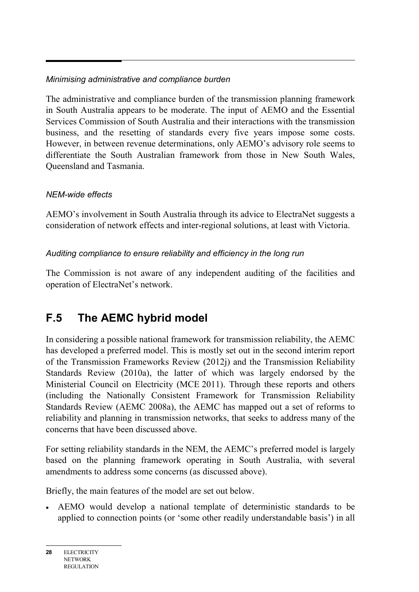# *Minimising administrative and compliance burden*

The administrative and compliance burden of the transmission planning framework in South Australia appears to be moderate. The input of AEMO and the Essential Services Commission of South Australia and their interactions with the transmission business, and the resetting of standards every five years impose some costs. However, in between revenue determinations, only AEMO's advisory role seems to differentiate the South Australian framework from those in New South Wales, Queensland and Tasmania.

# *NEM-wide effects*

AEMO's involvement in South Australia through its advice to ElectraNet suggests a consideration of network effects and inter-regional solutions, at least with Victoria.

# *Auditing compliance to ensure reliability and efficiency in the long run*

The Commission is not aware of any independent auditing of the facilities and operation of ElectraNet's network.

# **F.5 The AEMC hybrid model**

In considering a possible national framework for transmission reliability, the AEMC has developed a preferred model. This is mostly set out in the second interim report of the Transmission Frameworks Review (2012j) and the Transmission Reliability Standards Review (2010a), the latter of which was largely endorsed by the Ministerial Council on Electricity (MCE 2011). Through these reports and others (including the Nationally Consistent Framework for Transmission Reliability Standards Review (AEMC 2008a), the AEMC has mapped out a set of reforms to reliability and planning in transmission networks, that seeks to address many of the concerns that have been discussed above.

For setting reliability standards in the NEM, the AEMC's preferred model is largely based on the planning framework operating in South Australia, with several amendments to address some concerns (as discussed above).

Briefly, the main features of the model are set out below.

• AEMO would develop a national template of deterministic standards to be applied to connection points (or 'some other readily understandable basis') in all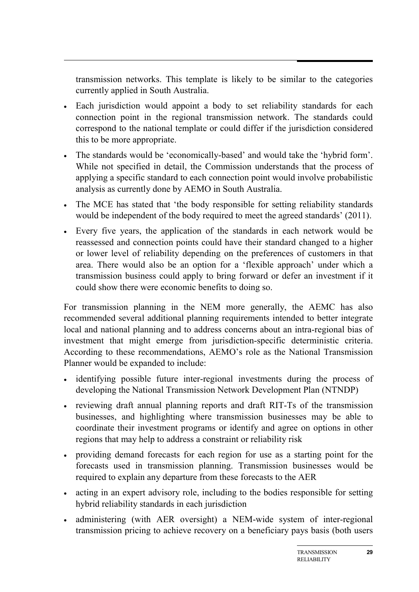transmission networks. This template is likely to be similar to the categories currently applied in South Australia.

- Each jurisdiction would appoint a body to set reliability standards for each connection point in the regional transmission network. The standards could correspond to the national template or could differ if the jurisdiction considered this to be more appropriate.
- The standards would be 'economically-based' and would take the 'hybrid form'. While not specified in detail, the Commission understands that the process of applying a specific standard to each connection point would involve probabilistic analysis as currently done by AEMO in South Australia.
- The MCE has stated that 'the body responsible for setting reliability standards would be independent of the body required to meet the agreed standards' (2011).
- Every five years, the application of the standards in each network would be reassessed and connection points could have their standard changed to a higher or lower level of reliability depending on the preferences of customers in that area. There would also be an option for a 'flexible approach' under which a transmission business could apply to bring forward or defer an investment if it could show there were economic benefits to doing so.

For transmission planning in the NEM more generally, the AEMC has also recommended several additional planning requirements intended to better integrate local and national planning and to address concerns about an intra-regional bias of investment that might emerge from jurisdiction-specific deterministic criteria. According to these recommendations, AEMO's role as the National Transmission Planner would be expanded to include:

- identifying possible future inter-regional investments during the process of developing the National Transmission Network Development Plan (NTNDP)
- reviewing draft annual planning reports and draft RIT-Ts of the transmission businesses, and highlighting where transmission businesses may be able to coordinate their investment programs or identify and agree on options in other regions that may help to address a constraint or reliability risk
- providing demand forecasts for each region for use as a starting point for the forecasts used in transmission planning. Transmission businesses would be required to explain any departure from these forecasts to the AER
- acting in an expert advisory role, including to the bodies responsible for setting hybrid reliability standards in each jurisdiction
- administering (with AER oversight) a NEM-wide system of inter-regional transmission pricing to achieve recovery on a beneficiary pays basis (both users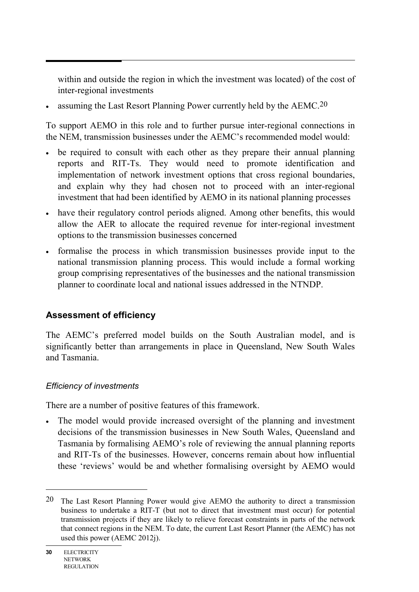within and outside the region in which the investment was located) of the cost of inter-regional investments

• assuming the Last Resort Planning Power currently held by the  $AEMC<sup>20</sup>$ 

To support AEMO in this role and to further pursue inter-regional connections in the NEM, transmission businesses under the AEMC's recommended model would:

- be required to consult with each other as they prepare their annual planning reports and RIT-Ts. They would need to promote identification and implementation of network investment options that cross regional boundaries, and explain why they had chosen not to proceed with an inter-regional investment that had been identified by AEMO in its national planning processes
- have their regulatory control periods aligned. Among other benefits, this would allow the AER to allocate the required revenue for inter-regional investment options to the transmission businesses concerned
- formalise the process in which transmission businesses provide input to the national transmission planning process. This would include a formal working group comprising representatives of the businesses and the national transmission planner to coordinate local and national issues addressed in the NTNDP.

# **Assessment of efficiency**

The AEMC's preferred model builds on the South Australian model, and is significantly better than arrangements in place in Queensland, New South Wales and Tasmania.

#### *Efficiency of investments*

There are a number of positive features of this framework.

• The model would provide increased oversight of the planning and investment decisions of the transmission businesses in New South Wales, Queensland and Tasmania by formalising AEMO's role of reviewing the annual planning reports and RIT-Ts of the businesses. However, concerns remain about how influential these 'reviews' would be and whether formalising oversight by AEMO would

 $\overline{a}$ 

<sup>20</sup> The Last Resort Planning Power would give AEMO the authority to direct a transmission business to undertake a RIT-T (but not to direct that investment must occur) for potential transmission projects if they are likely to relieve forecast constraints in parts of the network that connect regions in the NEM. To date, the current Last Resort Planner (the AEMC) has not used this power (AEMC 2012j).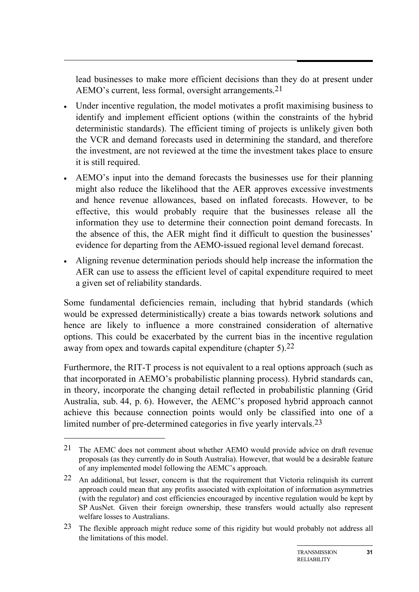lead businesses to make more efficient decisions than they do at present under AEMO's current, less formal, oversight arrangements.21

- Under incentive regulation, the model motivates a profit maximising business to identify and implement efficient options (within the constraints of the hybrid deterministic standards). The efficient timing of projects is unlikely given both the VCR and demand forecasts used in determining the standard, and therefore the investment, are not reviewed at the time the investment takes place to ensure it is still required.
- AEMO's input into the demand forecasts the businesses use for their planning might also reduce the likelihood that the AER approves excessive investments and hence revenue allowances, based on inflated forecasts. However, to be effective, this would probably require that the businesses release all the information they use to determine their connection point demand forecasts. In the absence of this, the AER might find it difficult to question the businesses' evidence for departing from the AEMO-issued regional level demand forecast.
- Aligning revenue determination periods should help increase the information the AER can use to assess the efficient level of capital expenditure required to meet a given set of reliability standards.

Some fundamental deficiencies remain, including that hybrid standards (which would be expressed deterministically) create a bias towards network solutions and hence are likely to influence a more constrained consideration of alternative options. This could be exacerbated by the current bias in the incentive regulation away from opex and towards capital expenditure (chapter 5).22

Furthermore, the RIT-T process is not equivalent to a real options approach (such as that incorporated in AEMO's probabilistic planning process). Hybrid standards can, in theory, incorporate the changing detail reflected in probabilistic planning (Grid Australia, sub. 44, p. 6). However, the AEMC's proposed hybrid approach cannot achieve this because connection points would only be classified into one of a limited number of pre-determined categories in five yearly intervals.23

-

<sup>21</sup> The AEMC does not comment about whether AEMO would provide advice on draft revenue proposals (as they currently do in South Australia). However, that would be a desirable feature of any implemented model following the AEMC's approach.

<sup>22</sup> An additional, but lesser, concern is that the requirement that Victoria relinquish its current approach could mean that any profits associated with exploitation of information asymmetries (with the regulator) and cost efficiencies encouraged by incentive regulation would be kept by SP AusNet. Given their foreign ownership, these transfers would actually also represent welfare losses to Australians.

<sup>&</sup>lt;sup>23</sup> The flexible approach might reduce some of this rigidity but would probably not address all the limitations of this model.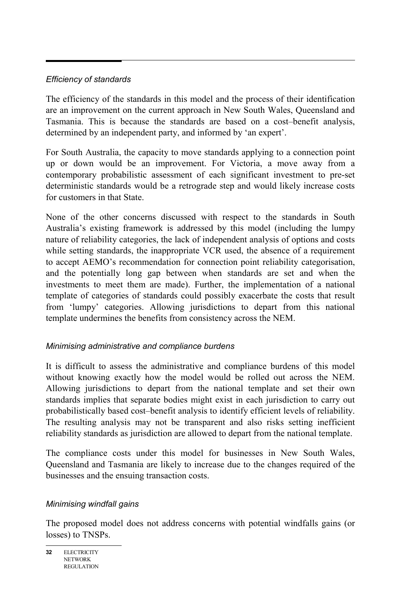#### *Efficiency of standards*

The efficiency of the standards in this model and the process of their identification are an improvement on the current approach in New South Wales, Queensland and Tasmania. This is because the standards are based on a cost–benefit analysis, determined by an independent party, and informed by 'an expert'.

For South Australia, the capacity to move standards applying to a connection point up or down would be an improvement. For Victoria, a move away from a contemporary probabilistic assessment of each significant investment to pre-set deterministic standards would be a retrograde step and would likely increase costs for customers in that State.

None of the other concerns discussed with respect to the standards in South Australia's existing framework is addressed by this model (including the lumpy nature of reliability categories, the lack of independent analysis of options and costs while setting standards, the inappropriate VCR used, the absence of a requirement to accept AEMO's recommendation for connection point reliability categorisation, and the potentially long gap between when standards are set and when the investments to meet them are made). Further, the implementation of a national template of categories of standards could possibly exacerbate the costs that result from 'lumpy' categories. Allowing jurisdictions to depart from this national template undermines the benefits from consistency across the NEM.

# *Minimising administrative and compliance burdens*

It is difficult to assess the administrative and compliance burdens of this model without knowing exactly how the model would be rolled out across the NEM. Allowing jurisdictions to depart from the national template and set their own standards implies that separate bodies might exist in each jurisdiction to carry out probabilistically based cost–benefit analysis to identify efficient levels of reliability. The resulting analysis may not be transparent and also risks setting inefficient reliability standards as jurisdiction are allowed to depart from the national template.

The compliance costs under this model for businesses in New South Wales, Queensland and Tasmania are likely to increase due to the changes required of the businesses and the ensuing transaction costs.

#### *Minimising windfall gains*

The proposed model does not address concerns with potential windfalls gains (or losses) to TNSPs.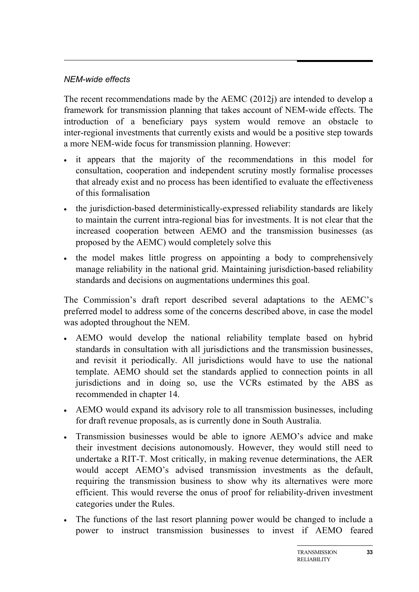#### *NEM-wide effects*

The recent recommendations made by the AEMC (2012j) are intended to develop a framework for transmission planning that takes account of NEM-wide effects. The introduction of a beneficiary pays system would remove an obstacle to inter-regional investments that currently exists and would be a positive step towards a more NEM-wide focus for transmission planning. However:

- it appears that the majority of the recommendations in this model for consultation, cooperation and independent scrutiny mostly formalise processes that already exist and no process has been identified to evaluate the effectiveness of this formalisation
- the jurisdiction-based deterministically-expressed reliability standards are likely to maintain the current intra-regional bias for investments. It is not clear that the increased cooperation between AEMO and the transmission businesses (as proposed by the AEMC) would completely solve this
- the model makes little progress on appointing a body to comprehensively manage reliability in the national grid. Maintaining jurisdiction-based reliability standards and decisions on augmentations undermines this goal.

The Commission's draft report described several adaptations to the AEMC's preferred model to address some of the concerns described above, in case the model was adopted throughout the NEM.

- AEMO would develop the national reliability template based on hybrid standards in consultation with all jurisdictions and the transmission businesses, and revisit it periodically. All jurisdictions would have to use the national template. AEMO should set the standards applied to connection points in all jurisdictions and in doing so, use the VCRs estimated by the ABS as recommended in chapter 14.
- AEMO would expand its advisory role to all transmission businesses, including for draft revenue proposals, as is currently done in South Australia.
- Transmission businesses would be able to ignore AEMO's advice and make their investment decisions autonomously. However, they would still need to undertake a RIT-T. Most critically, in making revenue determinations, the AER would accept AEMO's advised transmission investments as the default, requiring the transmission business to show why its alternatives were more efficient. This would reverse the onus of proof for reliability-driven investment categories under the Rules.
- The functions of the last resort planning power would be changed to include a power to instruct transmission businesses to invest if AEMO feared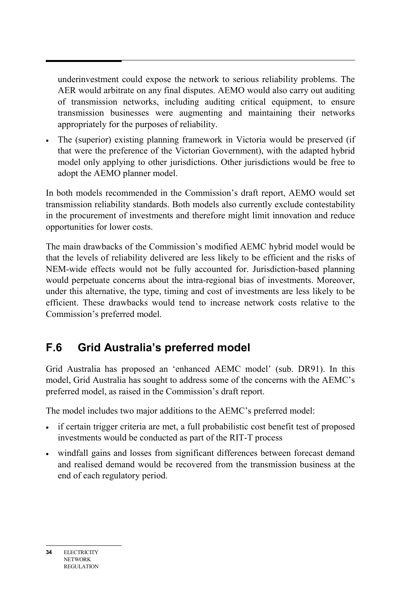underinvestment could expose the network to serious reliability problems. The AER would arbitrate on any final disputes. AEMO would also carry out auditing of transmission networks, including auditing critical equipment, to ensure transmission businesses were augmenting and maintaining their networks appropriately for the purposes of reliability.

• The (superior) existing planning framework in Victoria would be preserved (if that were the preference of the Victorian Government), with the adapted hybrid model only applying to other jurisdictions. Other jurisdictions would be free to adopt the AEMO planner model.

In both models recommended in the Commission's draft report, AEMO would set transmission reliability standards. Both models also currently exclude contestability in the procurement of investments and therefore might limit innovation and reduce opportunities for lower costs.

The main drawbacks of the Commission's modified AEMC hybrid model would be that the levels of reliability delivered are less likely to be efficient and the risks of NEM-wide effects would not be fully accounted for. Jurisdiction-based planning would perpetuate concerns about the intra-regional bias of investments. Moreover, under this alternative, the type, timing and cost of investments are less likely to be efficient. These drawbacks would tend to increase network costs relative to the Commission's preferred model.

# **F.6 Grid Australia's preferred model**

Grid Australia has proposed an 'enhanced AEMC model' (sub. DR91). In this model, Grid Australia has sought to address some of the concerns with the AEMC's preferred model, as raised in the Commission's draft report.

The model includes two major additions to the AEMC's preferred model:

- if certain trigger criteria are met, a full probabilistic cost benefit test of proposed investments would be conducted as part of the RIT-T process
- windfall gains and losses from significant differences between forecast demand and realised demand would be recovered from the transmission business at the end of each regulatory period.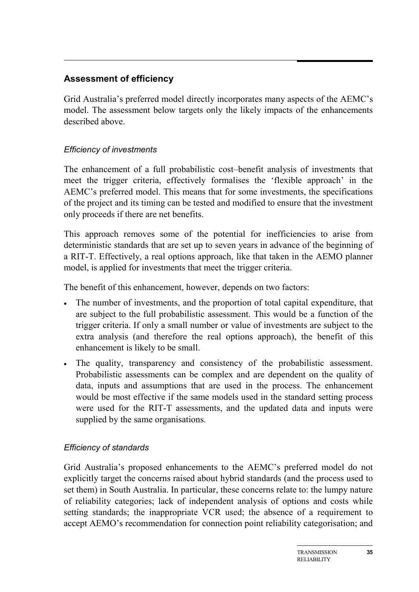#### **Assessment of efficiency**

Grid Australia's preferred model directly incorporates many aspects of the AEMC's model. The assessment below targets only the likely impacts of the enhancements described above.

#### *Efficiency of investments*

The enhancement of a full probabilistic cost–benefit analysis of investments that meet the trigger criteria, effectively formalises the 'flexible approach' in the AEMC's preferred model. This means that for some investments, the specifications of the project and its timing can be tested and modified to ensure that the investment only proceeds if there are net benefits.

This approach removes some of the potential for inefficiencies to arise from deterministic standards that are set up to seven years in advance of the beginning of a RIT-T. Effectively, a real options approach, like that taken in the AEMO planner model, is applied for investments that meet the trigger criteria.

The benefit of this enhancement, however, depends on two factors:

- The number of investments, and the proportion of total capital expenditure, that are subject to the full probabilistic assessment. This would be a function of the trigger criteria. If only a small number or value of investments are subject to the extra analysis (and therefore the real options approach), the benefit of this enhancement is likely to be small.
- The quality, transparency and consistency of the probabilistic assessment. Probabilistic assessments can be complex and are dependent on the quality of data, inputs and assumptions that are used in the process. The enhancement would be most effective if the same models used in the standard setting process were used for the RIT-T assessments, and the updated data and inputs were supplied by the same organisations.

#### *Efficiency of standards*

Grid Australia's proposed enhancements to the AEMC's preferred model do not explicitly target the concerns raised about hybrid standards (and the process used to set them) in South Australia. In particular, these concerns relate to: the lumpy nature of reliability categories; lack of independent analysis of options and costs while setting standards; the inappropriate VCR used; the absence of a requirement to accept AEMO's recommendation for connection point reliability categorisation; and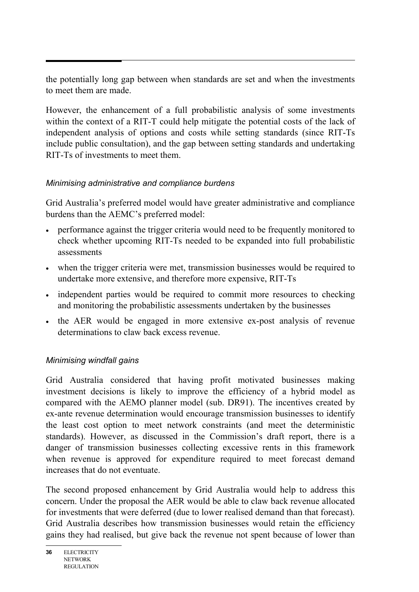the potentially long gap between when standards are set and when the investments to meet them are made.

However, the enhancement of a full probabilistic analysis of some investments within the context of a RIT-T could help mitigate the potential costs of the lack of independent analysis of options and costs while setting standards (since RIT-Ts include public consultation), and the gap between setting standards and undertaking RIT-Ts of investments to meet them.

# *Minimising administrative and compliance burdens*

Grid Australia's preferred model would have greater administrative and compliance burdens than the AEMC's preferred model:

- performance against the trigger criteria would need to be frequently monitored to check whether upcoming RIT-Ts needed to be expanded into full probabilistic assessments
- when the trigger criteria were met, transmission businesses would be required to undertake more extensive, and therefore more expensive, RIT-Ts
- independent parties would be required to commit more resources to checking and monitoring the probabilistic assessments undertaken by the businesses
- the AER would be engaged in more extensive ex-post analysis of revenue determinations to claw back excess revenue.

# *Minimising windfall gains*

Grid Australia considered that having profit motivated businesses making investment decisions is likely to improve the efficiency of a hybrid model as compared with the AEMO planner model (sub. DR91). The incentives created by ex-ante revenue determination would encourage transmission businesses to identify the least cost option to meet network constraints (and meet the deterministic standards). However, as discussed in the Commission's draft report, there is a danger of transmission businesses collecting excessive rents in this framework when revenue is approved for expenditure required to meet forecast demand increases that do not eventuate.

The second proposed enhancement by Grid Australia would help to address this concern. Under the proposal the AER would be able to claw back revenue allocated for investments that were deferred (due to lower realised demand than that forecast). Grid Australia describes how transmission businesses would retain the efficiency gains they had realised, but give back the revenue not spent because of lower than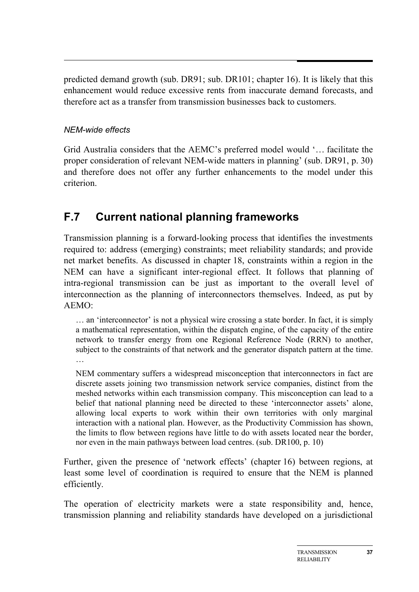predicted demand growth (sub. DR91; sub. DR101; chapter 16). It is likely that this enhancement would reduce excessive rents from inaccurate demand forecasts, and therefore act as a transfer from transmission businesses back to customers.

#### *NEM-wide effects*

Grid Australia considers that the AEMC's preferred model would '… facilitate the proper consideration of relevant NEM-wide matters in planning' (sub. DR91, p. 30) and therefore does not offer any further enhancements to the model under this criterion.

# **F.7 Current national planning frameworks**

Transmission planning is a forward-looking process that identifies the investments required to: address (emerging) constraints; meet reliability standards; and provide net market benefits. As discussed in chapter 18, constraints within a region in the NEM can have a significant inter-regional effect. It follows that planning of intra-regional transmission can be just as important to the overall level of interconnection as the planning of interconnectors themselves. Indeed, as put by AEMO:

… an 'interconnector' is not a physical wire crossing a state border. In fact, it is simply a mathematical representation, within the dispatch engine, of the capacity of the entire network to transfer energy from one Regional Reference Node (RRN) to another, subject to the constraints of that network and the generator dispatch pattern at the time. …

NEM commentary suffers a widespread misconception that interconnectors in fact are discrete assets joining two transmission network service companies, distinct from the meshed networks within each transmission company. This misconception can lead to a belief that national planning need be directed to these 'interconnector assets' alone, allowing local experts to work within their own territories with only marginal interaction with a national plan. However, as the Productivity Commission has shown, the limits to flow between regions have little to do with assets located near the border, nor even in the main pathways between load centres. (sub. DR100, p. 10)

Further, given the presence of 'network effects' (chapter 16) between regions, at least some level of coordination is required to ensure that the NEM is planned efficiently.

The operation of electricity markets were a state responsibility and, hence, transmission planning and reliability standards have developed on a jurisdictional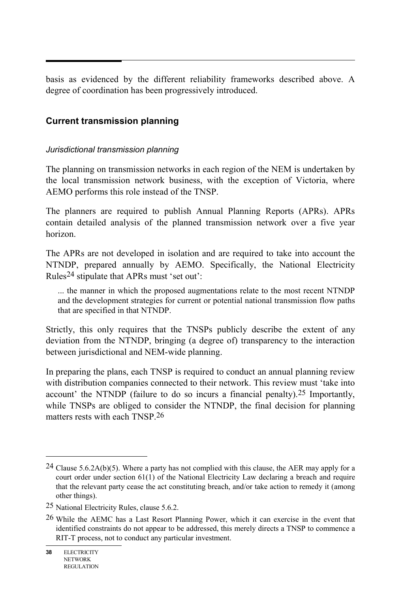basis as evidenced by the different reliability frameworks described above. A degree of coordination has been progressively introduced.

#### **Current transmission planning**

#### *Jurisdictional transmission planning*

The planning on transmission networks in each region of the NEM is undertaken by the local transmission network business, with the exception of Victoria, where AEMO performs this role instead of the TNSP.

The planners are required to publish Annual Planning Reports (APRs). APRs contain detailed analysis of the planned transmission network over a five year horizon.

The APRs are not developed in isolation and are required to take into account the NTNDP, prepared annually by AEMO. Specifically, the National Electricity Rules24 stipulate that APRs must 'set out':

... the manner in which the proposed augmentations relate to the most recent NTNDP and the development strategies for current or potential national transmission flow paths that are specified in that NTNDP.

Strictly, this only requires that the TNSPs publicly describe the extent of any deviation from the NTNDP, bringing (a degree of) transparency to the interaction between jurisdictional and NEM-wide planning.

In preparing the plans, each TNSP is required to conduct an annual planning review with distribution companies connected to their network. This review must 'take into account' the NTNDP (failure to do so incurs a financial penalty).25 Importantly, while TNSPs are obliged to consider the NTNDP, the final decision for planning matters rests with each TNSP.26

 $\overline{a}$ 

<sup>&</sup>lt;sup>24</sup> Clause 5.6.2A(b)(5). Where a party has not complied with this clause, the AER may apply for a court order under section 61(1) of the National Electricity Law declaring a breach and require that the relevant party cease the act constituting breach, and/or take action to remedy it (among other things).

<sup>25</sup> National Electricity Rules, clause 5.6.2.

<sup>26</sup> While the AEMC has a Last Resort Planning Power, which it can exercise in the event that identified constraints do not appear to be addressed, this merely directs a TNSP to commence a RIT-T process, not to conduct any particular investment.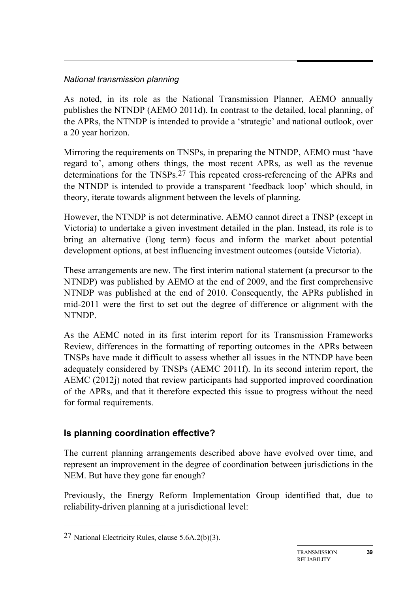#### *National transmission planning*

As noted, in its role as the National Transmission Planner, AEMO annually publishes the NTNDP (AEMO 2011d). In contrast to the detailed, local planning, of the APRs, the NTNDP is intended to provide a 'strategic' and national outlook, over a 20 year horizon.

Mirroring the requirements on TNSPs, in preparing the NTNDP, AEMO must 'have regard to', among others things, the most recent APRs, as well as the revenue determinations for the TNSPs.27 This repeated cross-referencing of the APRs and the NTNDP is intended to provide a transparent 'feedback loop' which should, in theory, iterate towards alignment between the levels of planning.

However, the NTNDP is not determinative. AEMO cannot direct a TNSP (except in Victoria) to undertake a given investment detailed in the plan. Instead, its role is to bring an alternative (long term) focus and inform the market about potential development options, at best influencing investment outcomes (outside Victoria).

These arrangements are new. The first interim national statement (a precursor to the NTNDP) was published by AEMO at the end of 2009, and the first comprehensive NTNDP was published at the end of 2010. Consequently, the APRs published in mid-2011 were the first to set out the degree of difference or alignment with the NTNDP.

As the AEMC noted in its first interim report for its Transmission Frameworks Review, differences in the formatting of reporting outcomes in the APRs between TNSPs have made it difficult to assess whether all issues in the NTNDP have been adequately considered by TNSPs (AEMC 2011f). In its second interim report, the AEMC (2012j) noted that review participants had supported improved coordination of the APRs, and that it therefore expected this issue to progress without the need for formal requirements.

# **Is planning coordination effective?**

The current planning arrangements described above have evolved over time, and represent an improvement in the degree of coordination between jurisdictions in the NEM. But have they gone far enough?

Previously, the Energy Reform Implementation Group identified that, due to reliability-driven planning at a jurisdictional level:

-

<sup>27</sup> National Electricity Rules, clause 5.6A.2(b)(3).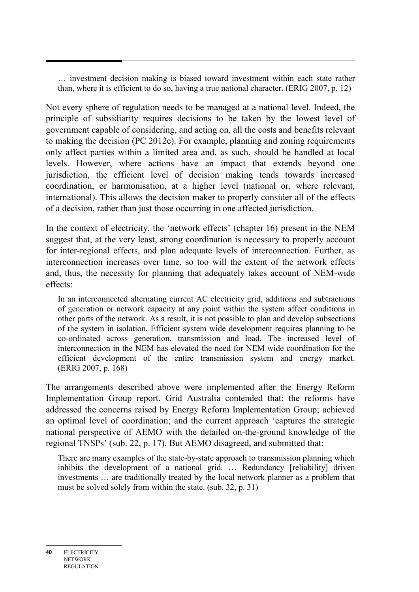… investment decision making is biased toward investment within each state rather than, where it is efficient to do so, having a true national character. (ERIG 2007, p. 12)

Not every sphere of regulation needs to be managed at a national level. Indeed, the principle of subsidiarity requires decisions to be taken by the lowest level of government capable of considering, and acting on, all the costs and benefits relevant to making the decision (PC 2012c). For example, planning and zoning requirements only affect parties within a limited area and, as such, should be handled at local levels. However, where actions have an impact that extends beyond one jurisdiction, the efficient level of decision making tends towards increased coordination, or harmonisation, at a higher level (national or, where relevant, international). This allows the decision maker to properly consider all of the effects of a decision, rather than just those occurring in one affected jurisdiction.

In the context of electricity, the 'network effects' (chapter 16) present in the NEM suggest that, at the very least, strong coordination is necessary to properly account for inter-regional effects, and plan adequate levels of interconnection. Further, as interconnection increases over time, so too will the extent of the network effects and, thus, the necessity for planning that adequately takes account of NEM-wide effects:

In an interconnected alternating current AC electricity grid, additions and subtractions of generation or network capacity at any point within the system affect conditions in other parts of the network. As a result, it is not possible to plan and develop subsections of the system in isolation. Efficient system wide development requires planning to be co-ordinated across generation, transmission and load. The increased level of interconnection in the NEM has elevated the need for NEM wide coordination for the efficient development of the entire transmission system and energy market. (ERIG 2007, p. 168)

The arrangements described above were implemented after the Energy Reform Implementation Group report. Grid Australia contended that: the reforms have addressed the concerns raised by Energy Reform Implementation Group; achieved an optimal level of coordination; and the current approach 'captures the strategic national perspective of AEMO with the detailed on-the-ground knowledge of the regional TNSPs' (sub. 22, p. 17). But AEMO disagreed, and submitted that:

There are many examples of the state-by-state approach to transmission planning which inhibits the development of a national grid. … Redundancy [reliability] driven investments … are traditionally treated by the local network planner as a problem that must be solved solely from within the state. (sub. 32, p. 31)